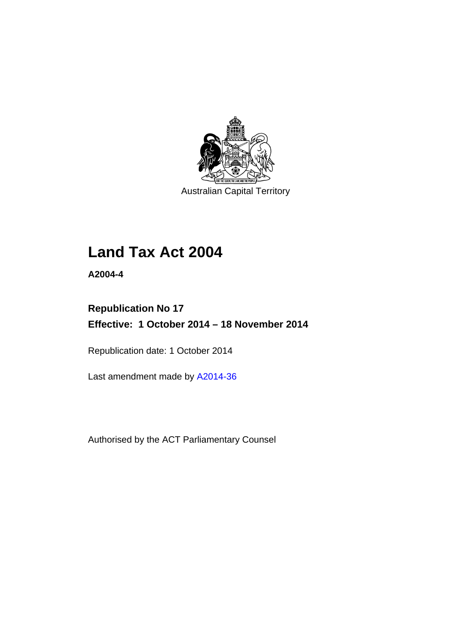

Australian Capital Territory

# **Land Tax Act 2004**

**A2004-4** 

## **Republication No 17 Effective: 1 October 2014 – 18 November 2014**

Republication date: 1 October 2014

Last amendment made by [A2014-36](http://www.legislation.act.gov.au/a/2014-36)

Authorised by the ACT Parliamentary Counsel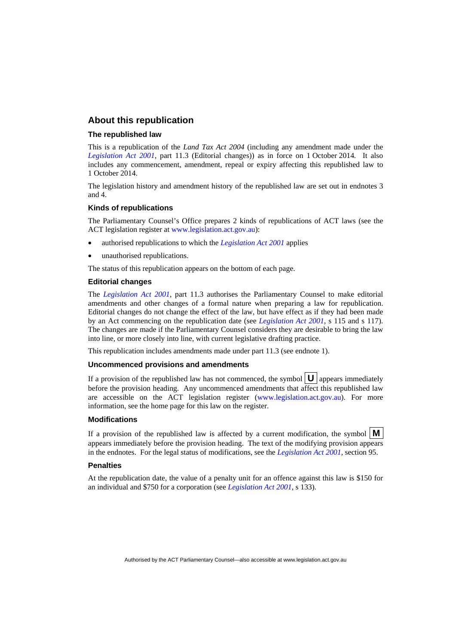#### **About this republication**

#### **The republished law**

This is a republication of the *Land Tax Act 2004* (including any amendment made under the *[Legislation Act 2001](http://www.legislation.act.gov.au/a/2001-14)*, part 11.3 (Editorial changes)) as in force on 1 October 2014*.* It also includes any commencement, amendment, repeal or expiry affecting this republished law to 1 October 2014.

The legislation history and amendment history of the republished law are set out in endnotes 3 and 4.

#### **Kinds of republications**

The Parliamentary Counsel's Office prepares 2 kinds of republications of ACT laws (see the ACT legislation register at [www.legislation.act.gov.au](http://www.legislation.act.gov.au/)):

- authorised republications to which the *[Legislation Act 2001](http://www.legislation.act.gov.au/a/2001-14)* applies
- unauthorised republications.

The status of this republication appears on the bottom of each page.

#### **Editorial changes**

The *[Legislation Act 2001](http://www.legislation.act.gov.au/a/2001-14)*, part 11.3 authorises the Parliamentary Counsel to make editorial amendments and other changes of a formal nature when preparing a law for republication. Editorial changes do not change the effect of the law, but have effect as if they had been made by an Act commencing on the republication date (see *[Legislation Act 2001](http://www.legislation.act.gov.au/a/2001-14)*, s 115 and s 117). The changes are made if the Parliamentary Counsel considers they are desirable to bring the law into line, or more closely into line, with current legislative drafting practice.

This republication includes amendments made under part 11.3 (see endnote 1).

#### **Uncommenced provisions and amendments**

If a provision of the republished law has not commenced, the symbol  $\mathbf{U}$  appears immediately before the provision heading. Any uncommenced amendments that affect this republished law are accessible on the ACT legislation register [\(www.legislation.act.gov.au\)](http://www.legislation.act.gov.au/). For more information, see the home page for this law on the register.

#### **Modifications**

If a provision of the republished law is affected by a current modification, the symbol  $\mathbf{M}$ appears immediately before the provision heading. The text of the modifying provision appears in the endnotes. For the legal status of modifications, see the *[Legislation Act 2001](http://www.legislation.act.gov.au/a/2001-14)*, section 95.

#### **Penalties**

At the republication date, the value of a penalty unit for an offence against this law is \$150 for an individual and \$750 for a corporation (see *[Legislation Act 2001](http://www.legislation.act.gov.au/a/2001-14)*, s 133).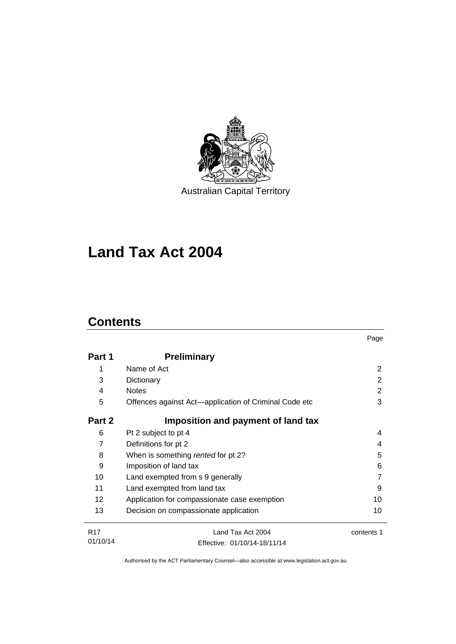

**Land Tax Act 2004** 

## **Contents**

|            |                                                       | Page       |
|------------|-------------------------------------------------------|------------|
| Part 1     | <b>Preliminary</b>                                    |            |
| 1          | Name of Act                                           | 2          |
| 3          | Dictionary                                            | 2          |
| 4          | <b>Notes</b>                                          | 2          |
| 5          | Offences against Act-application of Criminal Code etc | 3          |
| Part 2     | Imposition and payment of land tax                    |            |
| 6          | Pt 2 subject to pt 4                                  | 4          |
| 7          | Definitions for pt 2                                  | 4          |
| 8          | When is something rented for pt 2?                    | 5          |
| 9          | Imposition of land tax                                | 6          |
| 10         | Land exempted from s 9 generally                      | 7          |
| 11         | Land exempted from land tax                           | 9          |
| 12         | Application for compassionate case exemption          | 10         |
| 13         | Decision on compassionate application                 | 10         |
| <b>R17</b> | Land Tax Act 2004                                     | contents 1 |
| 01/10/14   | Effective: 01/10/14-18/11/14                          |            |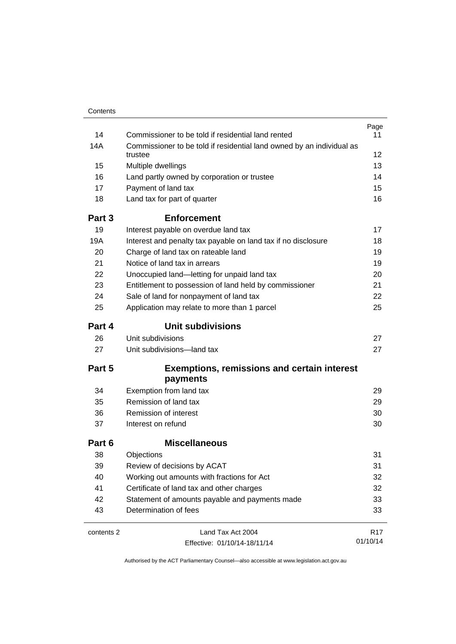| Contents   |                                                                       |                 |
|------------|-----------------------------------------------------------------------|-----------------|
|            |                                                                       | Page            |
| 14         | Commissioner to be told if residential land rented                    | 11              |
| 14A        | Commissioner to be told if residential land owned by an individual as |                 |
|            | trustee                                                               | 12 <sup>2</sup> |
| 15         | Multiple dwellings                                                    | 13              |
| 16         | Land partly owned by corporation or trustee                           | 14              |
| 17         | Payment of land tax                                                   | 15              |
| 18         | Land tax for part of quarter                                          | 16              |
| Part 3     | <b>Enforcement</b>                                                    |                 |
| 19         | Interest payable on overdue land tax                                  | 17              |
| 19A        | Interest and penalty tax payable on land tax if no disclosure         | 18              |
| 20         | Charge of land tax on rateable land                                   | 19              |
| 21         | Notice of land tax in arrears                                         | 19              |
| 22         | Unoccupied land-letting for unpaid land tax                           | 20              |
| 23         | Entitlement to possession of land held by commissioner                | 21              |
| 24         | Sale of land for nonpayment of land tax                               | 22              |
| 25         | Application may relate to more than 1 parcel                          | 25              |
| Part 4     | <b>Unit subdivisions</b>                                              |                 |
| 26         | Unit subdivisions                                                     | 27              |
| 27         | Unit subdivisions-land tax                                            | 27              |
| Part 5     | <b>Exemptions, remissions and certain interest</b>                    |                 |
|            | payments                                                              |                 |
| 34         | Exemption from land tax                                               | 29              |
| 35         | Remission of land tax                                                 | 29              |
| 36         | Remission of interest                                                 | 30              |
| 37         | Interest on refund                                                    | 30              |
| Part 6     | <b>Miscellaneous</b>                                                  |                 |
| 38         | Objections                                                            | 31              |
| 39         | Review of decisions by ACAT                                           | 31              |
| 40         | Working out amounts with fractions for Act                            | 32              |
| 41         | Certificate of land tax and other charges                             | 32              |
| 42         | Statement of amounts payable and payments made                        | 33              |
| 43         | Determination of fees                                                 | 33              |
|            |                                                                       |                 |
| contents 2 | Land Tax Act 2004                                                     | R <sub>17</sub> |
|            | Effective: 01/10/14-18/11/14                                          | 01/10/14        |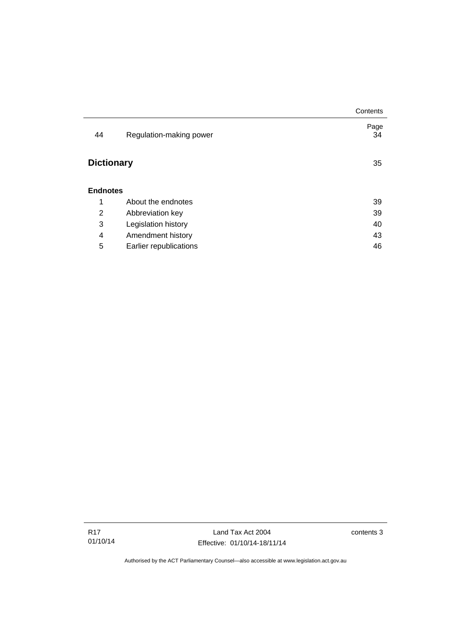|                   |                         | Contents   |
|-------------------|-------------------------|------------|
| 44                | Regulation-making power | Page<br>34 |
| <b>Dictionary</b> |                         | 35         |
| <b>Endnotes</b>   |                         |            |
| 1                 | About the endnotes      | 39         |
| 2                 | Abbreviation key        | 39         |
| 3                 | Legislation history     | 40         |
| 4                 | Amendment history       | 43         |
| 5                 | Earlier republications  | 46         |

Land Tax Act 2004 Effective: 01/10/14-18/11/14 contents 3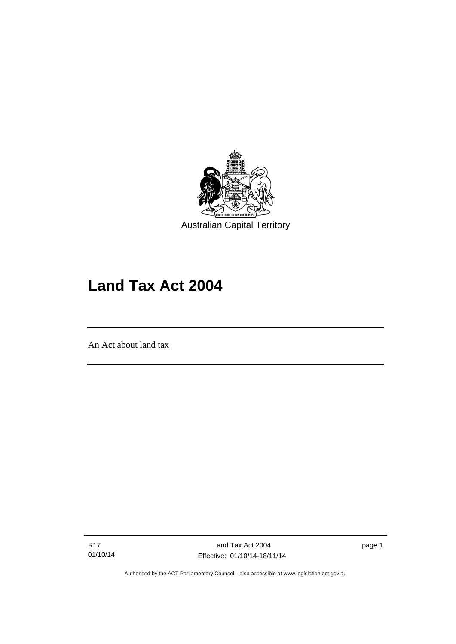

# **Land Tax Act 2004**

An Act about land tax

l

R17 01/10/14

Land Tax Act 2004 Effective: 01/10/14-18/11/14 page 1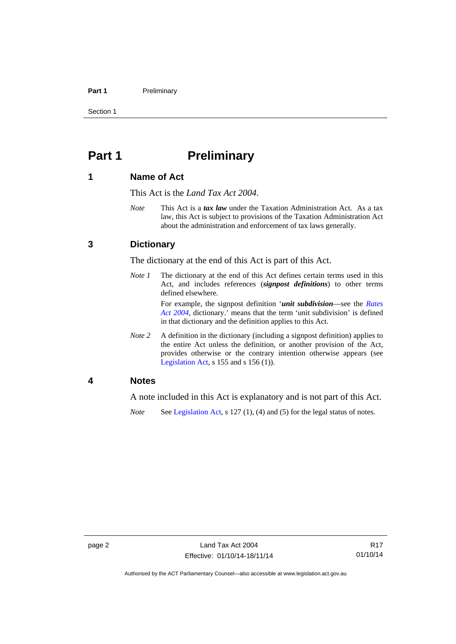#### Part 1 **Preliminary**

Section 1

## <span id="page-7-0"></span>**Part 1** Preliminary

## <span id="page-7-1"></span>**1 Name of Act**

This Act is the *Land Tax Act 2004*.

*Note* This Act is a *tax law* under the Taxation Administration Act. As a tax law, this Act is subject to provisions of the Taxation Administration Act about the administration and enforcement of tax laws generally.

### <span id="page-7-2"></span>**3 Dictionary**

The dictionary at the end of this Act is part of this Act.

*Note 1* The dictionary at the end of this Act defines certain terms used in this Act, and includes references (*signpost definitions*) to other terms defined elsewhere.

> For example, the signpost definition '*unit subdivision*—see the *[Rates](http://www.legislation.act.gov.au/a/2004-3)  [Act 2004](http://www.legislation.act.gov.au/a/2004-3)*, dictionary.' means that the term 'unit subdivision' is defined in that dictionary and the definition applies to this Act.

*Note* 2 A definition in the dictionary (including a signpost definition) applies to the entire Act unless the definition, or another provision of the Act, provides otherwise or the contrary intention otherwise appears (see [Legislation Act,](http://www.legislation.act.gov.au/a/2001-14)  $s$  155 and  $s$  156 (1)).

## <span id="page-7-3"></span>**4 Notes**

A note included in this Act is explanatory and is not part of this Act.

*Note* See [Legislation Act,](http://www.legislation.act.gov.au/a/2001-14) s 127 (1), (4) and (5) for the legal status of notes.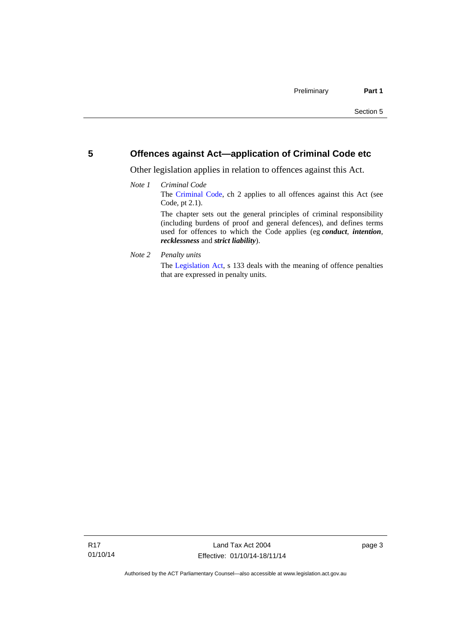## <span id="page-8-0"></span>**5 Offences against Act—application of Criminal Code etc**

Other legislation applies in relation to offences against this Act.

#### *Note 1 Criminal Code* The [Criminal Code](http://www.legislation.act.gov.au/a/2002-51), ch 2 applies to all offences against this Act (see Code, pt 2.1). The chapter sets out the general principles of criminal responsibility (including burdens of proof and general defences), and defines terms used for offences to which the Code applies (eg *conduct*, *intention*, *recklessness* and *strict liability*).

*Note 2 Penalty units* 

The [Legislation Act](http://www.legislation.act.gov.au/a/2001-14), s 133 deals with the meaning of offence penalties that are expressed in penalty units.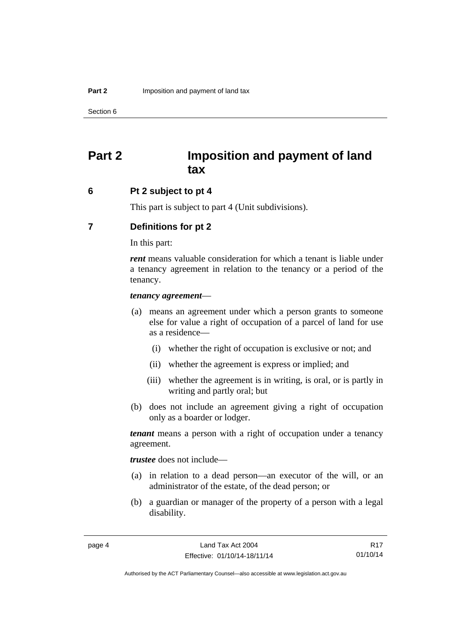## <span id="page-9-0"></span>**Part 2 Imposition and payment of land tax**

#### <span id="page-9-1"></span>**6 Pt 2 subject to pt 4**

This part is subject to part 4 (Unit subdivisions).

## <span id="page-9-2"></span>**7 Definitions for pt 2**

In this part:

*rent* means valuable consideration for which a tenant is liable under a tenancy agreement in relation to the tenancy or a period of the tenancy.

#### *tenancy agreement*—

- (a) means an agreement under which a person grants to someone else for value a right of occupation of a parcel of land for use as a residence—
	- (i) whether the right of occupation is exclusive or not; and
	- (ii) whether the agreement is express or implied; and
	- (iii) whether the agreement is in writing, is oral, or is partly in writing and partly oral; but
- (b) does not include an agreement giving a right of occupation only as a boarder or lodger.

*tenant* means a person with a right of occupation under a tenancy agreement.

*trustee* does not include—

- (a) in relation to a dead person—an executor of the will, or an administrator of the estate, of the dead person; or
- (b) a guardian or manager of the property of a person with a legal disability.

R17 01/10/14

Authorised by the ACT Parliamentary Counsel—also accessible at www.legislation.act.gov.au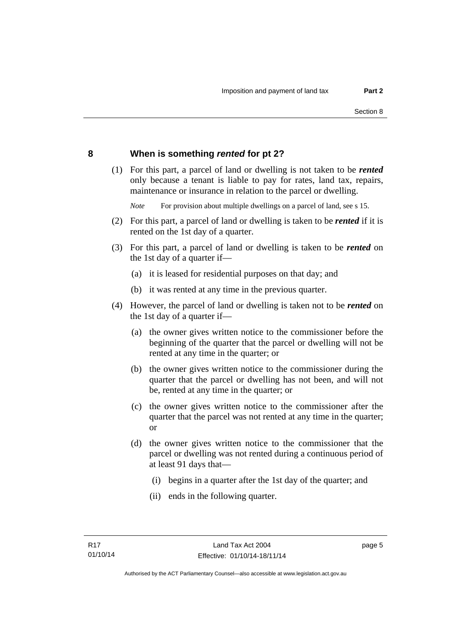## <span id="page-10-0"></span>**8 When is something** *rented* **for pt 2?**

 (1) For this part, a parcel of land or dwelling is not taken to be *rented* only because a tenant is liable to pay for rates, land tax, repairs, maintenance or insurance in relation to the parcel or dwelling.

*Note* For provision about multiple dwellings on a parcel of land, see s 15.

- (2) For this part, a parcel of land or dwelling is taken to be *rented* if it is rented on the 1st day of a quarter.
- (3) For this part, a parcel of land or dwelling is taken to be *rented* on the 1st day of a quarter if—
	- (a) it is leased for residential purposes on that day; and
	- (b) it was rented at any time in the previous quarter.
- (4) However, the parcel of land or dwelling is taken not to be *rented* on the 1st day of a quarter if—
	- (a) the owner gives written notice to the commissioner before the beginning of the quarter that the parcel or dwelling will not be rented at any time in the quarter; or
	- (b) the owner gives written notice to the commissioner during the quarter that the parcel or dwelling has not been, and will not be, rented at any time in the quarter; or
	- (c) the owner gives written notice to the commissioner after the quarter that the parcel was not rented at any time in the quarter; or
	- (d) the owner gives written notice to the commissioner that the parcel or dwelling was not rented during a continuous period of at least 91 days that—
		- (i) begins in a quarter after the 1st day of the quarter; and
		- (ii) ends in the following quarter.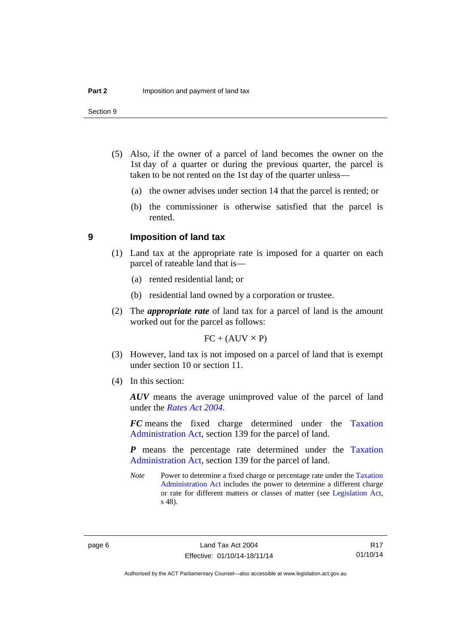- (5) Also, if the owner of a parcel of land becomes the owner on the 1st day of a quarter or during the previous quarter, the parcel is taken to be not rented on the 1st day of the quarter unless—
	- (a) the owner advises under section 14 that the parcel is rented; or
	- (b) the commissioner is otherwise satisfied that the parcel is rented.

#### <span id="page-11-0"></span>**9 Imposition of land tax**

- (1) Land tax at the appropriate rate is imposed for a quarter on each parcel of rateable land that is—
	- (a) rented residential land; or
	- (b) residential land owned by a corporation or trustee.
- (2) The *appropriate rate* of land tax for a parcel of land is the amount worked out for the parcel as follows:

 $FC + (AUV \times P)$ 

- (3) However, land tax is not imposed on a parcel of land that is exempt under section 10 or section 11.
- (4) In this section:

*AUV* means the average unimproved value of the parcel of land under the *[Rates Act 2004](http://www.legislation.act.gov.au/a/2004-3)*.

*FC* means the fixed charge determined under the [Taxation](http://www.legislation.act.gov.au/a/1999-4/default.asp)  [Administration Act](http://www.legislation.act.gov.au/a/1999-4/default.asp), section 139 for the parcel of land.

*P* means the percentage rate determined under the [Taxation](http://www.legislation.act.gov.au/a/1999-4/default.asp)  [Administration Act](http://www.legislation.act.gov.au/a/1999-4/default.asp), section 139 for the parcel of land.

*Note* Power to determine a fixed charge or percentage rate under the Taxation [Administration Act](http://www.legislation.act.gov.au/a/1999-4/default.asp) includes the power to determine a different charge or rate for different matters or classes of matter (see [Legislation Act,](http://www.legislation.act.gov.au/a/2001-14) s 48).

R17 01/10/14

Authorised by the ACT Parliamentary Counsel—also accessible at www.legislation.act.gov.au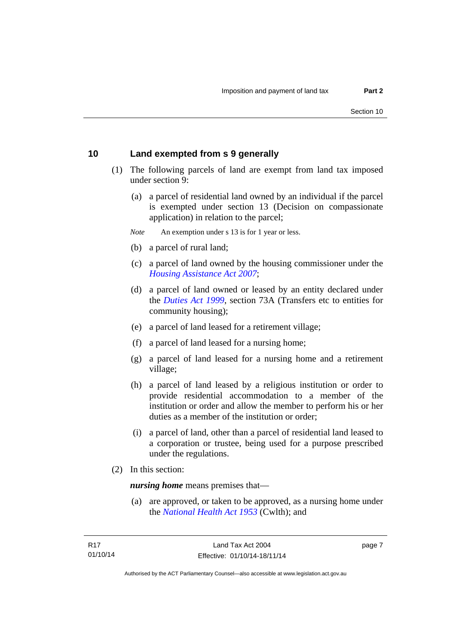## <span id="page-12-0"></span>**10 Land exempted from s 9 generally**

- (1) The following parcels of land are exempt from land tax imposed under section 9:
	- (a) a parcel of residential land owned by an individual if the parcel is exempted under section 13 (Decision on compassionate application) in relation to the parcel;
	- *Note* An exemption under s 13 is for 1 year or less.
	- (b) a parcel of rural land;
	- (c) a parcel of land owned by the housing commissioner under the *[Housing Assistance Act 2007](http://www.legislation.act.gov.au/a/2007-8)*;
	- (d) a parcel of land owned or leased by an entity declared under the *[Duties Act 1999](http://www.legislation.act.gov.au/a/1999-7)*, section 73A (Transfers etc to entities for community housing);
	- (e) a parcel of land leased for a retirement village;
	- (f) a parcel of land leased for a nursing home;
	- (g) a parcel of land leased for a nursing home and a retirement village;
	- (h) a parcel of land leased by a religious institution or order to provide residential accommodation to a member of the institution or order and allow the member to perform his or her duties as a member of the institution or order;
	- (i) a parcel of land, other than a parcel of residential land leased to a corporation or trustee, being used for a purpose prescribed under the regulations.
- (2) In this section:

*nursing home* means premises that—

 (a) are approved, or taken to be approved, as a nursing home under the *[National Health Act 1953](http://www.comlaw.gov.au/Details/C2013C00083)* (Cwlth); and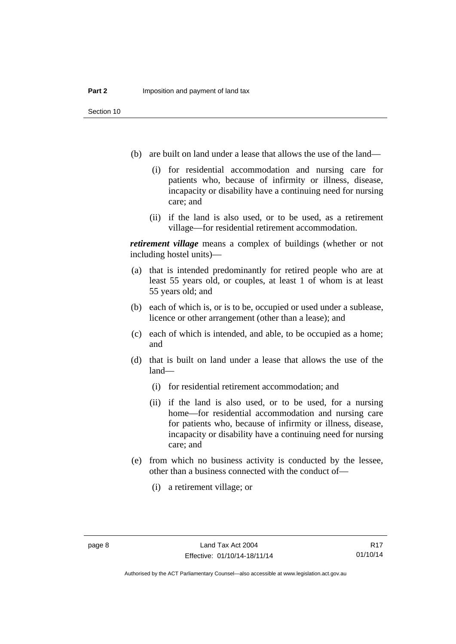- (b) are built on land under a lease that allows the use of the land—
	- (i) for residential accommodation and nursing care for patients who, because of infirmity or illness, disease, incapacity or disability have a continuing need for nursing care; and
	- (ii) if the land is also used, or to be used, as a retirement village—for residential retirement accommodation.

*retirement village* means a complex of buildings (whether or not including hostel units)—

- (a) that is intended predominantly for retired people who are at least 55 years old, or couples, at least 1 of whom is at least 55 years old; and
- (b) each of which is, or is to be, occupied or used under a sublease, licence or other arrangement (other than a lease); and
- (c) each of which is intended, and able, to be occupied as a home; and
- (d) that is built on land under a lease that allows the use of the land—
	- (i) for residential retirement accommodation; and
	- (ii) if the land is also used, or to be used, for a nursing home—for residential accommodation and nursing care for patients who, because of infirmity or illness, disease, incapacity or disability have a continuing need for nursing care; and
- (e) from which no business activity is conducted by the lessee, other than a business connected with the conduct of—
	- (i) a retirement village; or

Authorised by the ACT Parliamentary Counsel—also accessible at www.legislation.act.gov.au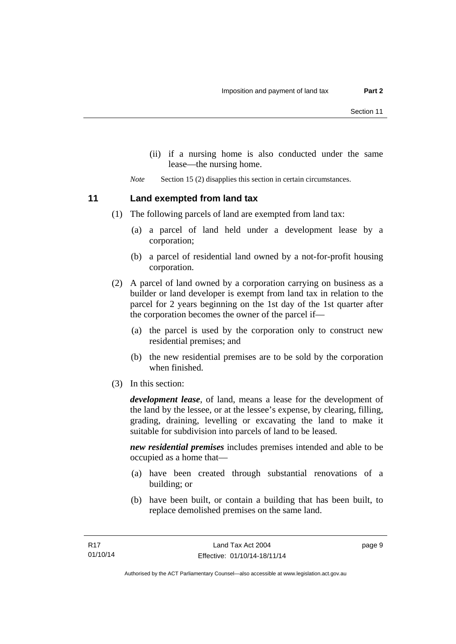- (ii) if a nursing home is also conducted under the same lease—the nursing home.
- *Note* Section 15 (2) disapplies this section in certain circumstances.

<span id="page-14-0"></span>**11 Land exempted from land tax** 

- (1) The following parcels of land are exempted from land tax:
	- (a) a parcel of land held under a development lease by a corporation;
	- (b) a parcel of residential land owned by a not-for-profit housing corporation.
- (2) A parcel of land owned by a corporation carrying on business as a builder or land developer is exempt from land tax in relation to the parcel for 2 years beginning on the 1st day of the 1st quarter after the corporation becomes the owner of the parcel if—
	- (a) the parcel is used by the corporation only to construct new residential premises; and
	- (b) the new residential premises are to be sold by the corporation when finished.
- (3) In this section:

*development lease*, of land, means a lease for the development of the land by the lessee, or at the lessee's expense, by clearing, filling, grading, draining, levelling or excavating the land to make it suitable for subdivision into parcels of land to be leased.

*new residential premises* includes premises intended and able to be occupied as a home that—

- (a) have been created through substantial renovations of a building; or
- (b) have been built, or contain a building that has been built, to replace demolished premises on the same land.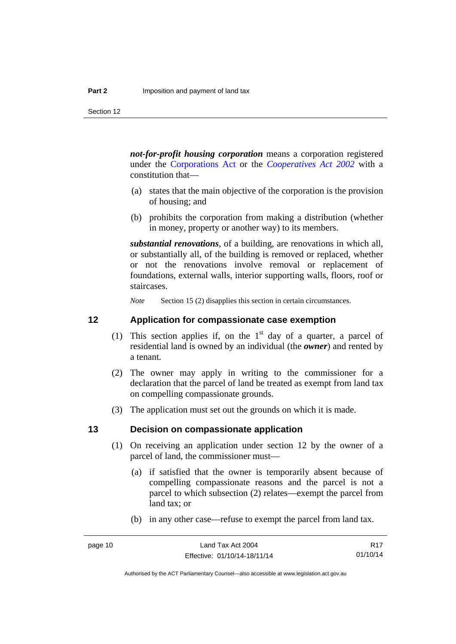Section 12

*not-for-profit housing corporation* means a corporation registered under the [Corporations Act](http://www.comlaw.gov.au/Series/C2004A00818) or the *[Cooperatives Act 2002](http://www.legislation.act.gov.au/a/2002-45)* with a constitution that—

- (a) states that the main objective of the corporation is the provision of housing; and
- (b) prohibits the corporation from making a distribution (whether in money, property or another way) to its members.

*substantial renovations*, of a building, are renovations in which all, or substantially all, of the building is removed or replaced, whether or not the renovations involve removal or replacement of foundations, external walls, interior supporting walls, floors, roof or staircases.

*Note* Section 15 (2) disapplies this section in certain circumstances.

### <span id="page-15-0"></span>**12 Application for compassionate case exemption**

- (1) This section applies if, on the  $1<sup>st</sup>$  day of a quarter, a parcel of residential land is owned by an individual (the *owner*) and rented by a tenant.
- (2) The owner may apply in writing to the commissioner for a declaration that the parcel of land be treated as exempt from land tax on compelling compassionate grounds.
- (3) The application must set out the grounds on which it is made.

#### <span id="page-15-1"></span>**13 Decision on compassionate application**

- (1) On receiving an application under section 12 by the owner of a parcel of land, the commissioner must—
	- (a) if satisfied that the owner is temporarily absent because of compelling compassionate reasons and the parcel is not a parcel to which subsection (2) relates—exempt the parcel from land tax; or
	- (b) in any other case—refuse to exempt the parcel from land tax.

R17 01/10/14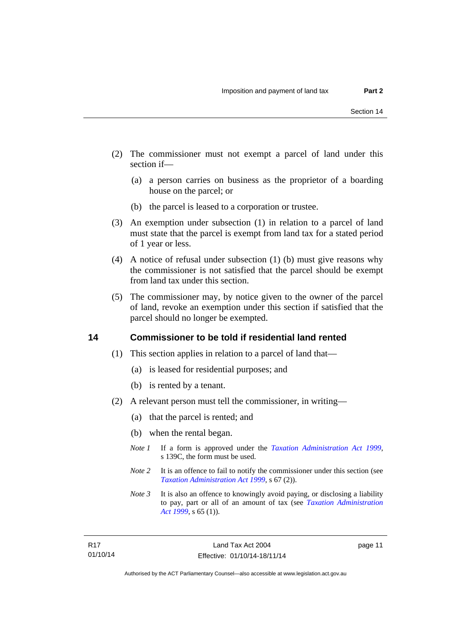- (2) The commissioner must not exempt a parcel of land under this section if—
	- (a) a person carries on business as the proprietor of a boarding house on the parcel; or
	- (b) the parcel is leased to a corporation or trustee.
- (3) An exemption under subsection (1) in relation to a parcel of land must state that the parcel is exempt from land tax for a stated period of 1 year or less.
- (4) A notice of refusal under subsection (1) (b) must give reasons why the commissioner is not satisfied that the parcel should be exempt from land tax under this section.
- (5) The commissioner may, by notice given to the owner of the parcel of land, revoke an exemption under this section if satisfied that the parcel should no longer be exempted.

#### <span id="page-16-0"></span>**14 Commissioner to be told if residential land rented**

- (1) This section applies in relation to a parcel of land that—
	- (a) is leased for residential purposes; and
	- (b) is rented by a tenant.
- (2) A relevant person must tell the commissioner, in writing—
	- (a) that the parcel is rented; and
	- (b) when the rental began.
	- *Note 1* If a form is approved under the *[Taxation Administration Act 1999](http://www.legislation.act.gov.au/a/1999-4)*, s 139C, the form must be used.
	- *Note* 2 It is an offence to fail to notify the commissioner under this section (see *[Taxation Administration Act 1999](http://www.legislation.act.gov.au/a/1999-4)*, s 67 (2)).
	- *Note 3* It is also an offence to knowingly avoid paying, or disclosing a liability to pay, part or all of an amount of tax (see *[Taxation Administration](http://www.legislation.act.gov.au/a/1999-4)  [Act 1999](http://www.legislation.act.gov.au/a/1999-4)*, s 65 (1)).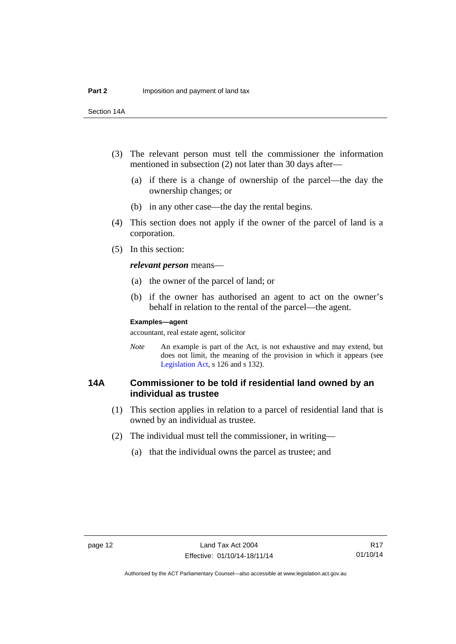Section 14A

- (3) The relevant person must tell the commissioner the information mentioned in subsection (2) not later than 30 days after—
	- (a) if there is a change of ownership of the parcel—the day the ownership changes; or
	- (b) in any other case—the day the rental begins.
- (4) This section does not apply if the owner of the parcel of land is a corporation.
- (5) In this section:

*relevant person* means—

- (a) the owner of the parcel of land; or
- (b) if the owner has authorised an agent to act on the owner's behalf in relation to the rental of the parcel—the agent.

#### **Examples—agent**

accountant, real estate agent, solicitor

*Note* An example is part of the Act, is not exhaustive and may extend, but does not limit, the meaning of the provision in which it appears (see [Legislation Act,](http://www.legislation.act.gov.au/a/2001-14) s 126 and s 132).

## <span id="page-17-0"></span>**14A Commissioner to be told if residential land owned by an individual as trustee**

- (1) This section applies in relation to a parcel of residential land that is owned by an individual as trustee.
- (2) The individual must tell the commissioner, in writing—
	- (a) that the individual owns the parcel as trustee; and

R17 01/10/14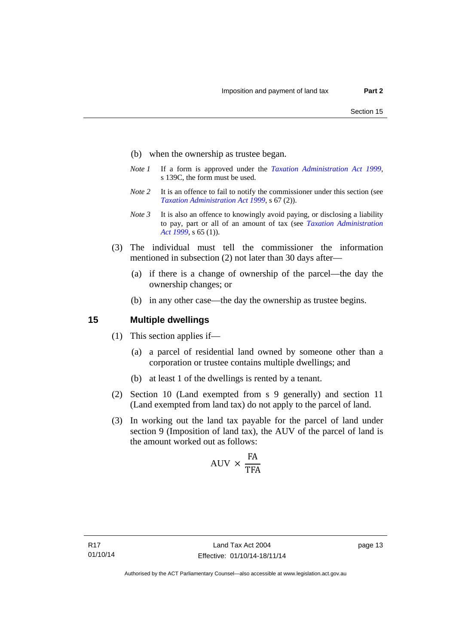- (b) when the ownership as trustee began.
- *Note 1* If a form is approved under the *[Taxation Administration Act 1999](http://www.legislation.act.gov.au/a/1999-4)*, s 139C, the form must be used.
- *Note 2* It is an offence to fail to notify the commissioner under this section (see *[Taxation Administration Act 1999](http://www.legislation.act.gov.au/a/1999-4)*, s 67 (2)).
- *Note 3* It is also an offence to knowingly avoid paying, or disclosing a liability to pay, part or all of an amount of tax (see *[Taxation Administration](http://www.legislation.act.gov.au/a/1999-4)  [Act 1999](http://www.legislation.act.gov.au/a/1999-4)*, s 65 (1)).
- (3) The individual must tell the commissioner the information mentioned in subsection (2) not later than 30 days after—
	- (a) if there is a change of ownership of the parcel—the day the ownership changes; or
	- (b) in any other case—the day the ownership as trustee begins.

## <span id="page-18-0"></span>**15 Multiple dwellings**

- (1) This section applies if—
	- (a) a parcel of residential land owned by someone other than a corporation or trustee contains multiple dwellings; and
	- (b) at least 1 of the dwellings is rented by a tenant.
- (2) Section 10 (Land exempted from s 9 generally) and section 11 (Land exempted from land tax) do not apply to the parcel of land.
- (3) In working out the land tax payable for the parcel of land under section 9 (Imposition of land tax), the AUV of the parcel of land is the amount worked out as follows:

$$
AUV \times \frac{FA}{TFA}
$$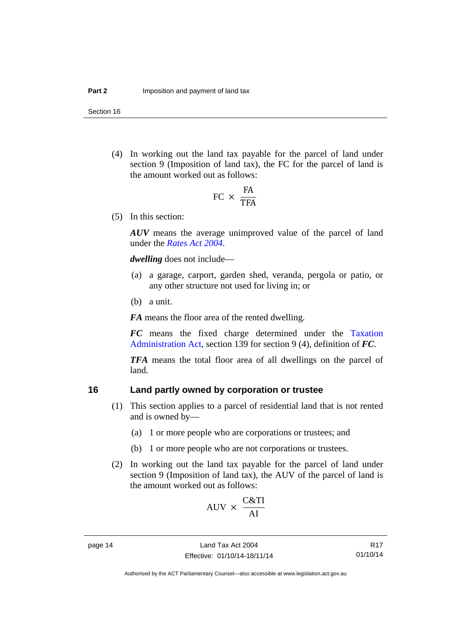Section 16

 (4) In working out the land tax payable for the parcel of land under section 9 (Imposition of land tax), the FC for the parcel of land is the amount worked out as follows:

$$
FC \times \frac{FA}{TFA}
$$

(5) In this section:

*AUV* means the average unimproved value of the parcel of land under the *[Rates Act 2004](http://www.legislation.act.gov.au/a/2004-3)*.

*dwelling* does not include—

- (a) a garage, carport, garden shed, veranda, pergola or patio, or any other structure not used for living in; or
- (b) a unit.

*FA* means the floor area of the rented dwelling.

*FC* means the fixed charge determined under the [Taxation](http://www.legislation.act.gov.au/a/1999-4/default.asp)  [Administration Act](http://www.legislation.act.gov.au/a/1999-4/default.asp), section 139 for section 9 (4), definition of *FC*.

*TFA* means the total floor area of all dwellings on the parcel of land.

## <span id="page-19-0"></span>**16 Land partly owned by corporation or trustee**

- (1) This section applies to a parcel of residential land that is not rented and is owned by—
	- (a) 1 or more people who are corporations or trustees; and
	- (b) 1 or more people who are not corporations or trustees.
- (2) In working out the land tax payable for the parcel of land under section 9 (Imposition of land tax), the AUV of the parcel of land is the amount worked out as follows:

 $\sim$   $\sim$   $\sim$ 

$$
AVV \times \frac{C\&11}{AI}
$$

R17 01/10/14

Authorised by the ACT Parliamentary Counsel—also accessible at www.legislation.act.gov.au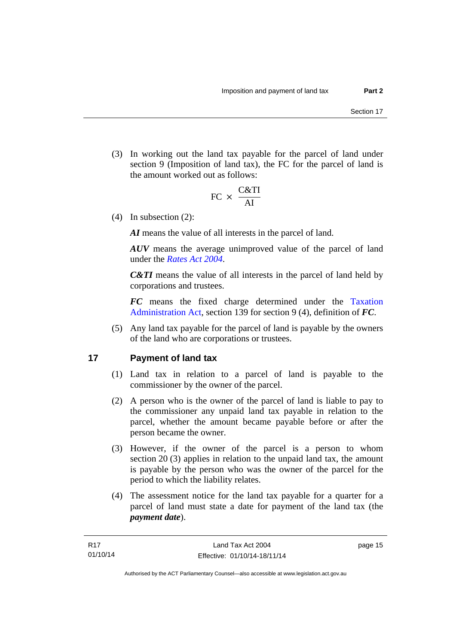(3) In working out the land tax payable for the parcel of land under section 9 (Imposition of land tax), the FC for the parcel of land is the amount worked out as follows:

$$
FC \times \frac{C&TI}{AI}
$$

(4) In subsection (2):

*AI* means the value of all interests in the parcel of land.

*AUV* means the average unimproved value of the parcel of land under the *[Rates Act 2004](http://www.legislation.act.gov.au/a/2004-3)*.

*C&TI* means the value of all interests in the parcel of land held by corporations and trustees.

*FC* means the fixed charge determined under the [Taxation](http://www.legislation.act.gov.au/a/1999-4/default.asp)  [Administration Act](http://www.legislation.act.gov.au/a/1999-4/default.asp), section 139 for section 9 (4), definition of *FC*.

 (5) Any land tax payable for the parcel of land is payable by the owners of the land who are corporations or trustees.

## <span id="page-20-0"></span>**17 Payment of land tax**

- (1) Land tax in relation to a parcel of land is payable to the commissioner by the owner of the parcel.
- (2) A person who is the owner of the parcel of land is liable to pay to the commissioner any unpaid land tax payable in relation to the parcel, whether the amount became payable before or after the person became the owner.
- (3) However, if the owner of the parcel is a person to whom section 20 (3) applies in relation to the unpaid land tax, the amount is payable by the person who was the owner of the parcel for the period to which the liability relates.
- (4) The assessment notice for the land tax payable for a quarter for a parcel of land must state a date for payment of the land tax (the *payment date*).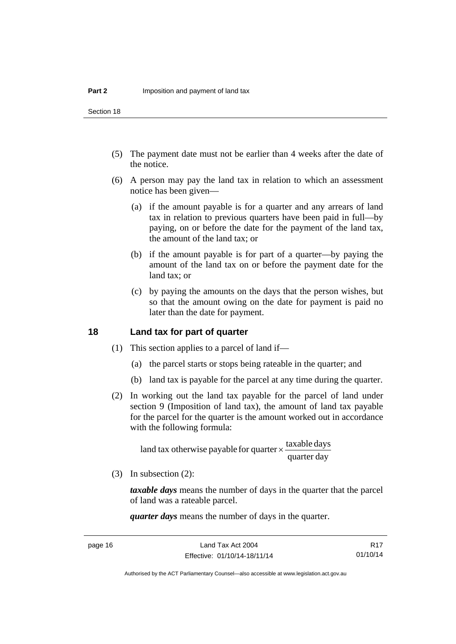Section 18

- (5) The payment date must not be earlier than 4 weeks after the date of the notice.
- (6) A person may pay the land tax in relation to which an assessment notice has been given—
	- (a) if the amount payable is for a quarter and any arrears of land tax in relation to previous quarters have been paid in full—by paying, on or before the date for the payment of the land tax, the amount of the land tax; or
	- (b) if the amount payable is for part of a quarter—by paying the amount of the land tax on or before the payment date for the land tax; or
	- (c) by paying the amounts on the days that the person wishes, but so that the amount owing on the date for payment is paid no later than the date for payment.

## <span id="page-21-0"></span>**18 Land tax for part of quarter**

- (1) This section applies to a parcel of land if—
	- (a) the parcel starts or stops being rateable in the quarter; and
	- (b) land tax is payable for the parcel at any time during the quarter.
- (2) In working out the land tax payable for the parcel of land under section 9 (Imposition of land tax), the amount of land tax payable for the parcel for the quarter is the amount worked out in accordance with the following formula:

quarter day land tax otherwise payable for quarter  $\times$  taxable days

(3) In subsection (2):

*taxable days* means the number of days in the quarter that the parcel of land was a rateable parcel.

*quarter days* means the number of days in the quarter.

R17 01/10/14

Authorised by the ACT Parliamentary Counsel—also accessible at www.legislation.act.gov.au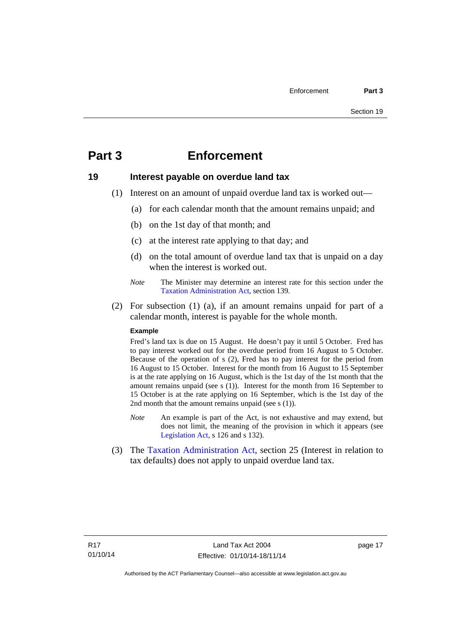## <span id="page-22-0"></span>**Part 3 Enforcement**

## <span id="page-22-1"></span>**19 Interest payable on overdue land tax**

- (1) Interest on an amount of unpaid overdue land tax is worked out—
	- (a) for each calendar month that the amount remains unpaid; and
	- (b) on the 1st day of that month; and
	- (c) at the interest rate applying to that day; and
	- (d) on the total amount of overdue land tax that is unpaid on a day when the interest is worked out.
	- *Note* The Minister may determine an interest rate for this section under the [Taxation Administration Act,](http://www.legislation.act.gov.au/a/1999-4/default.asp) section 139.
- (2) For subsection (1) (a), if an amount remains unpaid for part of a calendar month, interest is payable for the whole month.

#### **Example**

Fred's land tax is due on 15 August. He doesn't pay it until 5 October. Fred has to pay interest worked out for the overdue period from 16 August to 5 October. Because of the operation of s (2), Fred has to pay interest for the period from 16 August to 15 October. Interest for the month from 16 August to 15 September is at the rate applying on 16 August, which is the 1st day of the 1st month that the amount remains unpaid (see s (1)). Interest for the month from 16 September to 15 October is at the rate applying on 16 September, which is the 1st day of the 2nd month that the amount remains unpaid (see s (1)).

- *Note* An example is part of the Act, is not exhaustive and may extend, but does not limit, the meaning of the provision in which it appears (see [Legislation Act,](http://www.legislation.act.gov.au/a/2001-14) s 126 and s 132).
- (3) The [Taxation Administration Act,](http://www.legislation.act.gov.au/a/1999-4/default.asp) section 25 (Interest in relation to tax defaults) does not apply to unpaid overdue land tax.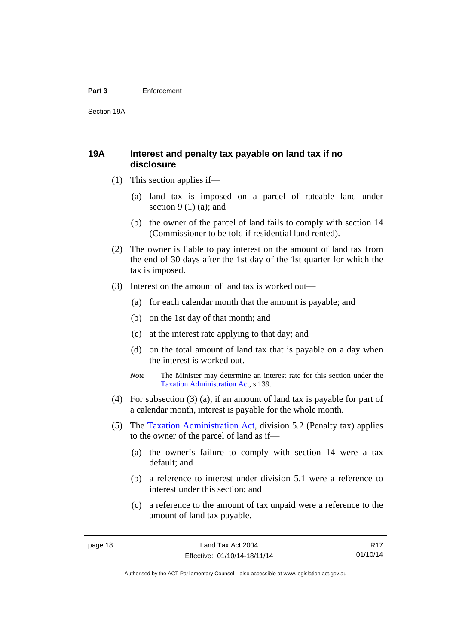#### **Part 3** Enforcement

Section 19A

## <span id="page-23-0"></span>**19A Interest and penalty tax payable on land tax if no disclosure**

- (1) This section applies if—
	- (a) land tax is imposed on a parcel of rateable land under section  $9(1)(a)$ ; and
	- (b) the owner of the parcel of land fails to comply with section 14 (Commissioner to be told if residential land rented).
- (2) The owner is liable to pay interest on the amount of land tax from the end of 30 days after the 1st day of the 1st quarter for which the tax is imposed.
- (3) Interest on the amount of land tax is worked out—
	- (a) for each calendar month that the amount is payable; and
	- (b) on the 1st day of that month; and
	- (c) at the interest rate applying to that day; and
	- (d) on the total amount of land tax that is payable on a day when the interest is worked out.
	- *Note* The Minister may determine an interest rate for this section under the [Taxation Administration Act,](http://www.legislation.act.gov.au/a/1999-4/default.asp) s 139.
- (4) For subsection (3) (a), if an amount of land tax is payable for part of a calendar month, interest is payable for the whole month.
- (5) The [Taxation Administration Act,](http://www.legislation.act.gov.au/a/1999-4/default.asp) division 5.2 (Penalty tax) applies to the owner of the parcel of land as if—
	- (a) the owner's failure to comply with section 14 were a tax default; and
	- (b) a reference to interest under division 5.1 were a reference to interest under this section; and
	- (c) a reference to the amount of tax unpaid were a reference to the amount of land tax payable.

R17 01/10/14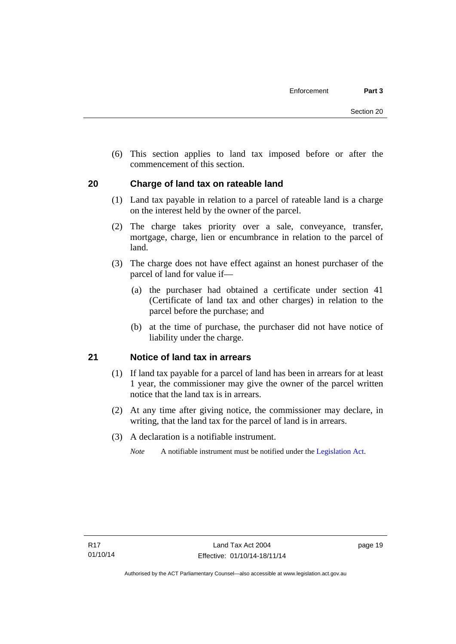(6) This section applies to land tax imposed before or after the commencement of this section.

## <span id="page-24-0"></span>**20 Charge of land tax on rateable land**

- (1) Land tax payable in relation to a parcel of rateable land is a charge on the interest held by the owner of the parcel.
- (2) The charge takes priority over a sale, conveyance, transfer, mortgage, charge, lien or encumbrance in relation to the parcel of land.
- (3) The charge does not have effect against an honest purchaser of the parcel of land for value if—
	- (a) the purchaser had obtained a certificate under section 41 (Certificate of land tax and other charges) in relation to the parcel before the purchase; and
	- (b) at the time of purchase, the purchaser did not have notice of liability under the charge.

## <span id="page-24-1"></span>**21 Notice of land tax in arrears**

- (1) If land tax payable for a parcel of land has been in arrears for at least 1 year, the commissioner may give the owner of the parcel written notice that the land tax is in arrears.
- (2) At any time after giving notice, the commissioner may declare, in writing, that the land tax for the parcel of land is in arrears.
- (3) A declaration is a notifiable instrument.
	- *Note* A notifiable instrument must be notified under the [Legislation Act](http://www.legislation.act.gov.au/a/2001-14).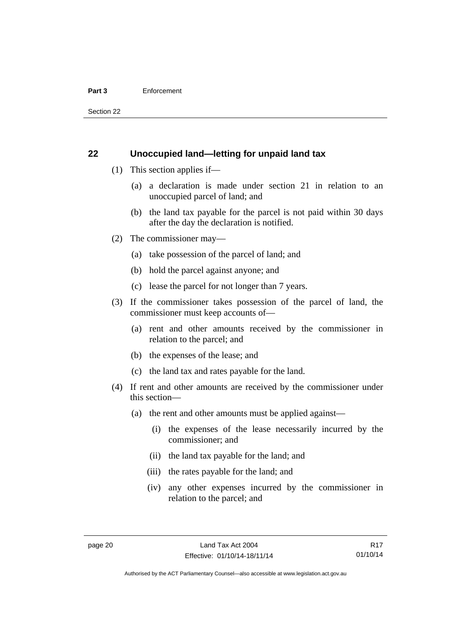#### **Part 3** Enforcement

Section 22

### <span id="page-25-0"></span>**22 Unoccupied land—letting for unpaid land tax**

- (1) This section applies if—
	- (a) a declaration is made under section 21 in relation to an unoccupied parcel of land; and
	- (b) the land tax payable for the parcel is not paid within 30 days after the day the declaration is notified.
- (2) The commissioner may—
	- (a) take possession of the parcel of land; and
	- (b) hold the parcel against anyone; and
	- (c) lease the parcel for not longer than 7 years.
- (3) If the commissioner takes possession of the parcel of land, the commissioner must keep accounts of—
	- (a) rent and other amounts received by the commissioner in relation to the parcel; and
	- (b) the expenses of the lease; and
	- (c) the land tax and rates payable for the land.
- (4) If rent and other amounts are received by the commissioner under this section—
	- (a) the rent and other amounts must be applied against—
		- (i) the expenses of the lease necessarily incurred by the commissioner; and
		- (ii) the land tax payable for the land; and
		- (iii) the rates payable for the land; and
		- (iv) any other expenses incurred by the commissioner in relation to the parcel; and

Authorised by the ACT Parliamentary Counsel—also accessible at www.legislation.act.gov.au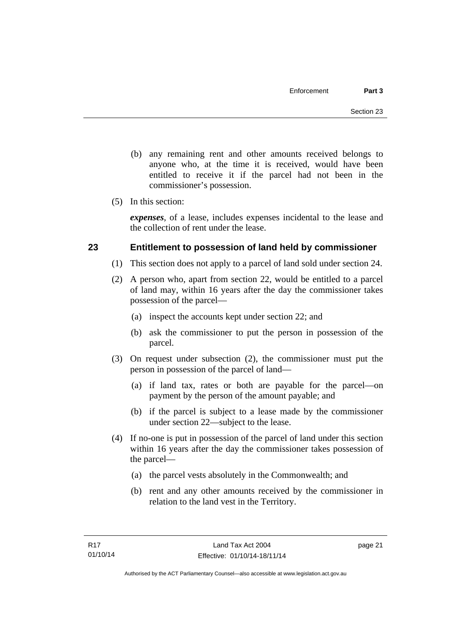- (b) any remaining rent and other amounts received belongs to anyone who, at the time it is received, would have been entitled to receive it if the parcel had not been in the commissioner's possession.
- (5) In this section:

*expenses*, of a lease, includes expenses incidental to the lease and the collection of rent under the lease.

## <span id="page-26-0"></span>**23 Entitlement to possession of land held by commissioner**

- (1) This section does not apply to a parcel of land sold under section 24.
- (2) A person who, apart from section 22, would be entitled to a parcel of land may, within 16 years after the day the commissioner takes possession of the parcel—
	- (a) inspect the accounts kept under section 22; and
	- (b) ask the commissioner to put the person in possession of the parcel.
- (3) On request under subsection (2), the commissioner must put the person in possession of the parcel of land—
	- (a) if land tax, rates or both are payable for the parcel—on payment by the person of the amount payable; and
	- (b) if the parcel is subject to a lease made by the commissioner under section 22—subject to the lease.
- (4) If no-one is put in possession of the parcel of land under this section within 16 years after the day the commissioner takes possession of the parcel—
	- (a) the parcel vests absolutely in the Commonwealth; and
	- (b) rent and any other amounts received by the commissioner in relation to the land vest in the Territory.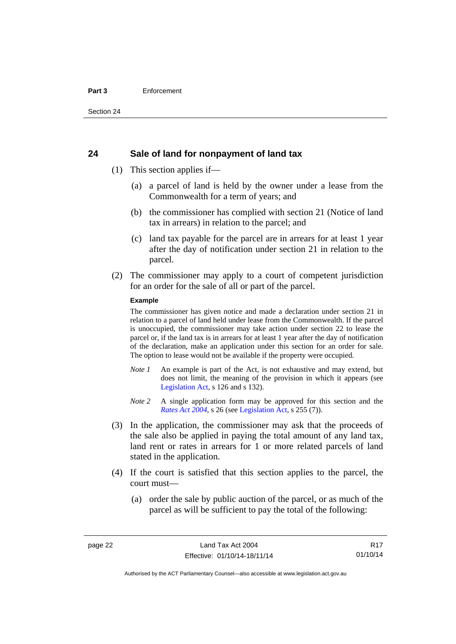#### **Part 3** Enforcement

#### <span id="page-27-0"></span>**24 Sale of land for nonpayment of land tax**

- (1) This section applies if—
	- (a) a parcel of land is held by the owner under a lease from the Commonwealth for a term of years; and
	- (b) the commissioner has complied with section 21 (Notice of land tax in arrears) in relation to the parcel; and
	- (c) land tax payable for the parcel are in arrears for at least 1 year after the day of notification under section 21 in relation to the parcel.
- (2) The commissioner may apply to a court of competent jurisdiction for an order for the sale of all or part of the parcel.

#### **Example**

The commissioner has given notice and made a declaration under section 21 in relation to a parcel of land held under lease from the Commonwealth. If the parcel is unoccupied, the commissioner may take action under section 22 to lease the parcel or, if the land tax is in arrears for at least 1 year after the day of notification of the declaration, make an application under this section for an order for sale. The option to lease would not be available if the property were occupied.

- *Note 1* An example is part of the Act, is not exhaustive and may extend, but does not limit, the meaning of the provision in which it appears (see [Legislation Act,](http://www.legislation.act.gov.au/a/2001-14) s 126 and s 132).
- *Note* 2 A single application form may be approved for this section and the *[Rates Act 2004](http://www.legislation.act.gov.au/a/2004-3)*, s 26 (see [Legislation Act,](http://www.legislation.act.gov.au/a/2001-14) s 255 (7)).
- (3) In the application, the commissioner may ask that the proceeds of the sale also be applied in paying the total amount of any land tax, land rent or rates in arrears for 1 or more related parcels of land stated in the application.
- (4) If the court is satisfied that this section applies to the parcel, the court must—
	- (a) order the sale by public auction of the parcel, or as much of the parcel as will be sufficient to pay the total of the following:

R17 01/10/14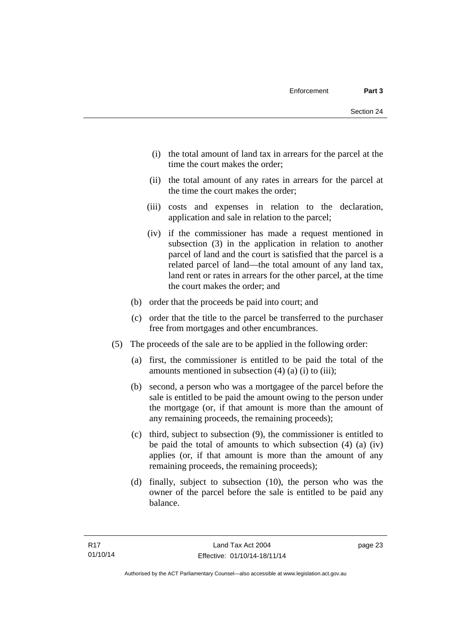- (i) the total amount of land tax in arrears for the parcel at the time the court makes the order;
- (ii) the total amount of any rates in arrears for the parcel at the time the court makes the order;
- (iii) costs and expenses in relation to the declaration, application and sale in relation to the parcel;
- (iv) if the commissioner has made a request mentioned in subsection (3) in the application in relation to another parcel of land and the court is satisfied that the parcel is a related parcel of land—the total amount of any land tax, land rent or rates in arrears for the other parcel, at the time the court makes the order; and
- (b) order that the proceeds be paid into court; and
- (c) order that the title to the parcel be transferred to the purchaser free from mortgages and other encumbrances.
- (5) The proceeds of the sale are to be applied in the following order:
	- (a) first, the commissioner is entitled to be paid the total of the amounts mentioned in subsection  $(4)$   $(a)$   $(i)$  to  $(iii)$ ;
	- (b) second, a person who was a mortgagee of the parcel before the sale is entitled to be paid the amount owing to the person under the mortgage (or, if that amount is more than the amount of any remaining proceeds, the remaining proceeds);
	- (c) third, subject to subsection (9), the commissioner is entitled to be paid the total of amounts to which subsection (4) (a) (iv) applies (or, if that amount is more than the amount of any remaining proceeds, the remaining proceeds);
	- (d) finally, subject to subsection (10), the person who was the owner of the parcel before the sale is entitled to be paid any balance.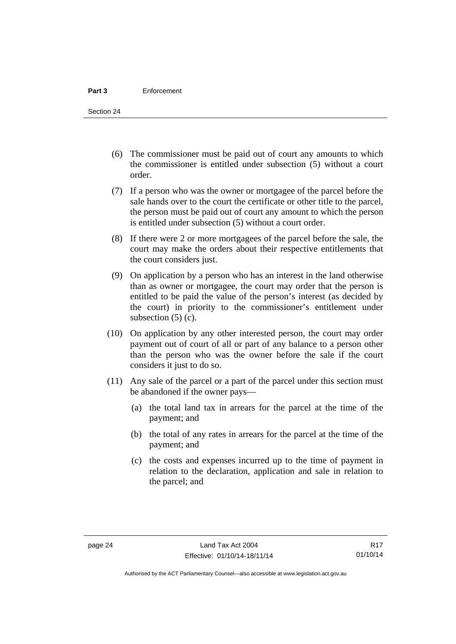- (6) The commissioner must be paid out of court any amounts to which the commissioner is entitled under subsection (5) without a court order.
- (7) If a person who was the owner or mortgagee of the parcel before the sale hands over to the court the certificate or other title to the parcel, the person must be paid out of court any amount to which the person is entitled under subsection (5) without a court order.
- (8) If there were 2 or more mortgagees of the parcel before the sale, the court may make the orders about their respective entitlements that the court considers just.
- (9) On application by a person who has an interest in the land otherwise than as owner or mortgagee, the court may order that the person is entitled to be paid the value of the person's interest (as decided by the court) in priority to the commissioner's entitlement under subsection  $(5)$  (c).
- (10) On application by any other interested person, the court may order payment out of court of all or part of any balance to a person other than the person who was the owner before the sale if the court considers it just to do so.
- (11) Any sale of the parcel or a part of the parcel under this section must be abandoned if the owner pays—
	- (a) the total land tax in arrears for the parcel at the time of the payment; and
	- (b) the total of any rates in arrears for the parcel at the time of the payment; and
	- (c) the costs and expenses incurred up to the time of payment in relation to the declaration, application and sale in relation to the parcel; and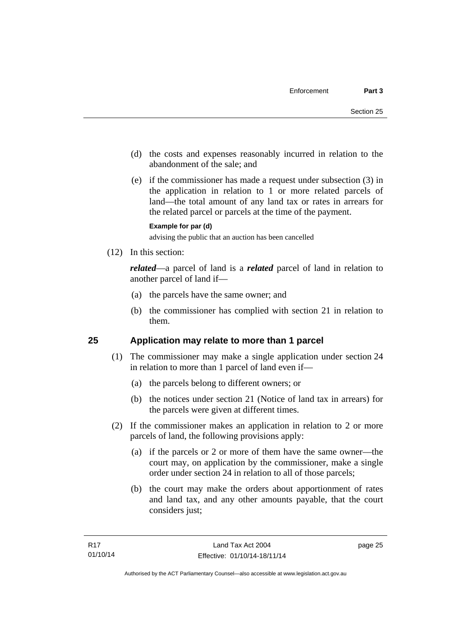- (d) the costs and expenses reasonably incurred in relation to the abandonment of the sale; and
- (e) if the commissioner has made a request under subsection (3) in the application in relation to 1 or more related parcels of land—the total amount of any land tax or rates in arrears for the related parcel or parcels at the time of the payment.

#### **Example for par (d)**

advising the public that an auction has been cancelled

(12) In this section:

*related*—a parcel of land is a *related* parcel of land in relation to another parcel of land if—

- (a) the parcels have the same owner; and
- (b) the commissioner has complied with section 21 in relation to them.

## <span id="page-30-0"></span>**25 Application may relate to more than 1 parcel**

- (1) The commissioner may make a single application under section 24 in relation to more than 1 parcel of land even if—
	- (a) the parcels belong to different owners; or
	- (b) the notices under section 21 (Notice of land tax in arrears) for the parcels were given at different times.
- (2) If the commissioner makes an application in relation to 2 or more parcels of land, the following provisions apply:
	- (a) if the parcels or 2 or more of them have the same owner—the court may, on application by the commissioner, make a single order under section 24 in relation to all of those parcels;
	- (b) the court may make the orders about apportionment of rates and land tax, and any other amounts payable, that the court considers just;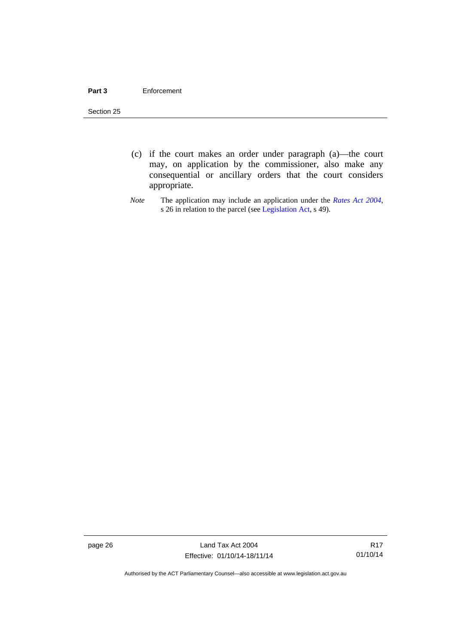#### **Part 3** Enforcement

Section 25

- (c) if the court makes an order under paragraph (a)—the court may, on application by the commissioner, also make any consequential or ancillary orders that the court considers appropriate.
- *Note* The application may include an application under the *[Rates Act 2004](http://www.legislation.act.gov.au/a/2004-3)*, s 26 in relation to the parcel (see [Legislation Act,](http://www.legislation.act.gov.au/a/2001-14) s 49).

page 26 Land Tax Act 2004 Effective: 01/10/14-18/11/14

R17 01/10/14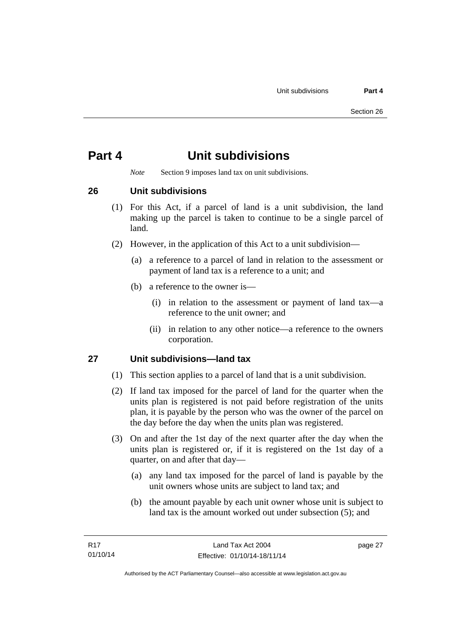## <span id="page-32-0"></span>**Part 4 Unit subdivisions**

*Note* Section 9 imposes land tax on unit subdivisions.

<span id="page-32-1"></span>**26 Unit subdivisions** 

- (1) For this Act, if a parcel of land is a unit subdivision, the land making up the parcel is taken to continue to be a single parcel of land.
- (2) However, in the application of this Act to a unit subdivision—
	- (a) a reference to a parcel of land in relation to the assessment or payment of land tax is a reference to a unit; and
	- (b) a reference to the owner is—
		- (i) in relation to the assessment or payment of land tax—a reference to the unit owner; and
		- (ii) in relation to any other notice—a reference to the owners corporation.

## <span id="page-32-2"></span>**27 Unit subdivisions—land tax**

- (1) This section applies to a parcel of land that is a unit subdivision.
- (2) If land tax imposed for the parcel of land for the quarter when the units plan is registered is not paid before registration of the units plan, it is payable by the person who was the owner of the parcel on the day before the day when the units plan was registered.
- (3) On and after the 1st day of the next quarter after the day when the units plan is registered or, if it is registered on the 1st day of a quarter, on and after that day—
	- (a) any land tax imposed for the parcel of land is payable by the unit owners whose units are subject to land tax; and
	- (b) the amount payable by each unit owner whose unit is subject to land tax is the amount worked out under subsection (5); and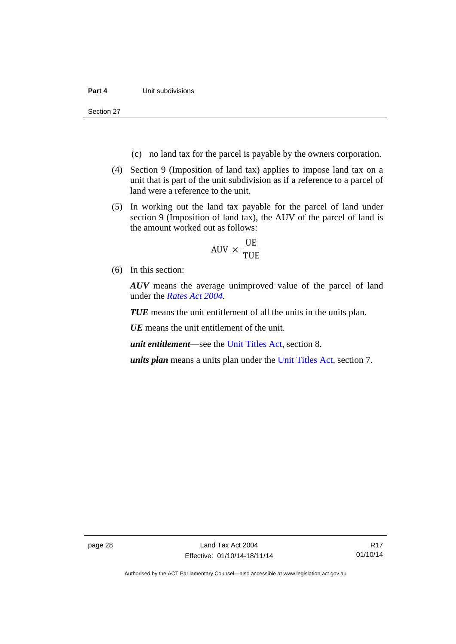Section 27

- (c) no land tax for the parcel is payable by the owners corporation.
- (4) Section 9 (Imposition of land tax) applies to impose land tax on a unit that is part of the unit subdivision as if a reference to a parcel of land were a reference to the unit.
- (5) In working out the land tax payable for the parcel of land under section 9 (Imposition of land tax), the AUV of the parcel of land is the amount worked out as follows:

$$
AUV \times \frac{UE}{TUE}
$$

(6) In this section:

*AUV* means the average unimproved value of the parcel of land under the *[Rates Act 2004](http://www.legislation.act.gov.au/a/2004-3)*.

*TUE* means the unit entitlement of all the units in the units plan.

*UE* means the unit entitlement of the unit.

*unit entitlement*—see the [Unit Titles Act](http://www.legislation.act.gov.au/a/2001-16/default.asp), section 8.

*units plan* means a units plan under the [Unit Titles Act,](http://www.legislation.act.gov.au/a/2001-16/default.asp) section 7.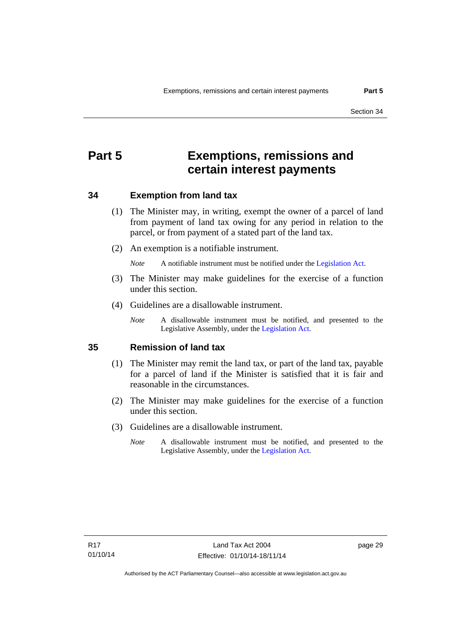## <span id="page-34-0"></span>**Part 5 Exemptions, remissions and certain interest payments**

#### <span id="page-34-1"></span>**34 Exemption from land tax**

- (1) The Minister may, in writing, exempt the owner of a parcel of land from payment of land tax owing for any period in relation to the parcel, or from payment of a stated part of the land tax.
- (2) An exemption is a notifiable instrument.

*Note* A notifiable instrument must be notified under the [Legislation Act](http://www.legislation.act.gov.au/a/2001-14).

- (3) The Minister may make guidelines for the exercise of a function under this section.
- (4) Guidelines are a disallowable instrument.
	- *Note* A disallowable instrument must be notified, and presented to the Legislative Assembly, under the [Legislation Act.](http://www.legislation.act.gov.au/a/2001-14)

#### <span id="page-34-2"></span>**35 Remission of land tax**

- (1) The Minister may remit the land tax, or part of the land tax, payable for a parcel of land if the Minister is satisfied that it is fair and reasonable in the circumstances.
- (2) The Minister may make guidelines for the exercise of a function under this section.
- (3) Guidelines are a disallowable instrument.
	- *Note* A disallowable instrument must be notified, and presented to the Legislative Assembly, under the [Legislation Act.](http://www.legislation.act.gov.au/a/2001-14)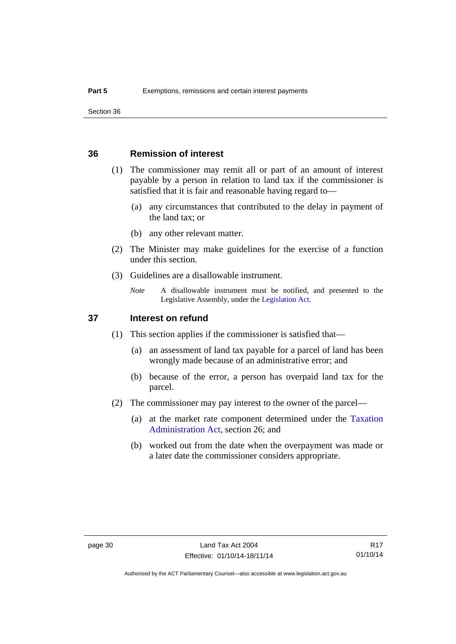Section 36

### <span id="page-35-0"></span>**36 Remission of interest**

- (1) The commissioner may remit all or part of an amount of interest payable by a person in relation to land tax if the commissioner is satisfied that it is fair and reasonable having regard to—
	- (a) any circumstances that contributed to the delay in payment of the land tax; or
	- (b) any other relevant matter.
- (2) The Minister may make guidelines for the exercise of a function under this section.
- (3) Guidelines are a disallowable instrument.
	- *Note* A disallowable instrument must be notified, and presented to the Legislative Assembly, under the [Legislation Act.](http://www.legislation.act.gov.au/a/2001-14)

### <span id="page-35-1"></span>**37 Interest on refund**

- (1) This section applies if the commissioner is satisfied that—
	- (a) an assessment of land tax payable for a parcel of land has been wrongly made because of an administrative error; and
	- (b) because of the error, a person has overpaid land tax for the parcel.
- (2) The commissioner may pay interest to the owner of the parcel—
	- (a) at the market rate component determined under the [Taxation](http://www.legislation.act.gov.au/a/1999-4/default.asp)  [Administration Act](http://www.legislation.act.gov.au/a/1999-4/default.asp), section 26; and
	- (b) worked out from the date when the overpayment was made or a later date the commissioner considers appropriate.

R17 01/10/14

Authorised by the ACT Parliamentary Counsel—also accessible at www.legislation.act.gov.au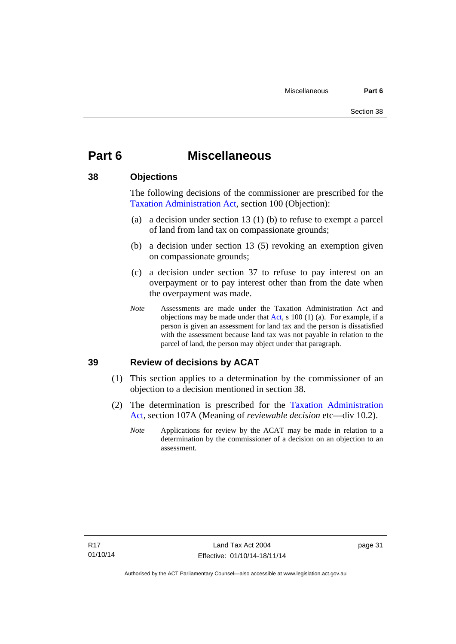## <span id="page-36-0"></span>**Part 6 Miscellaneous**

### <span id="page-36-1"></span>**38 Objections**

The following decisions of the commissioner are prescribed for the [Taxation Administration Act,](http://www.legislation.act.gov.au/a/1999-4/default.asp) section 100 (Objection):

- (a) a decision under section 13 (1) (b) to refuse to exempt a parcel of land from land tax on compassionate grounds;
- (b) a decision under section 13 (5) revoking an exemption given on compassionate grounds;
- (c) a decision under section 37 to refuse to pay interest on an overpayment or to pay interest other than from the date when the overpayment was made.
- *Note* Assessments are made under the Taxation Administration Act and objections may be made under that [Act](http://www.legislation.act.gov.au/a/1999-4/default.asp), s 100 (1) (a). For example, if a person is given an assessment for land tax and the person is dissatisfied with the assessment because land tax was not payable in relation to the parcel of land, the person may object under that paragraph.

## <span id="page-36-2"></span>**39 Review of decisions by ACAT**

- (1) This section applies to a determination by the commissioner of an objection to a decision mentioned in section 38.
- (2) The determination is prescribed for the [Taxation Administration](http://www.legislation.act.gov.au/a/1999-4/default.asp)  [Act](http://www.legislation.act.gov.au/a/1999-4/default.asp), section 107A (Meaning of *reviewable decision* etc—div 10.2).
	- *Note* Applications for review by the ACAT may be made in relation to a determination by the commissioner of a decision on an objection to an assessment.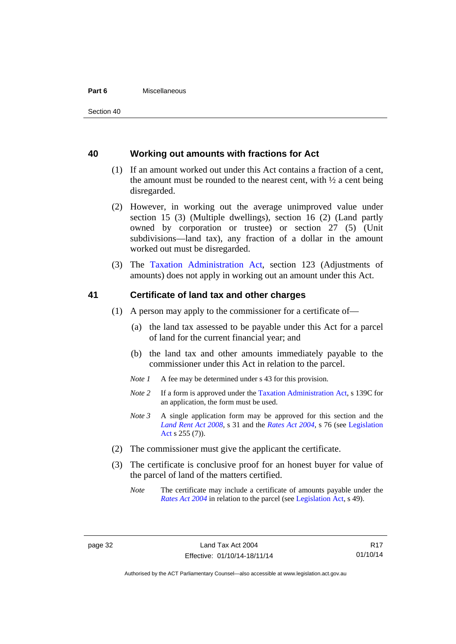#### **Part 6** Miscellaneous

#### <span id="page-37-0"></span>**40 Working out amounts with fractions for Act**

- (1) If an amount worked out under this Act contains a fraction of a cent, the amount must be rounded to the nearest cent, with  $\frac{1}{2}$  a cent being disregarded.
- (2) However, in working out the average unimproved value under section 15 (3) (Multiple dwellings), section 16 (2) (Land partly owned by corporation or trustee) or section 27 (5) (Unit subdivisions—land tax), any fraction of a dollar in the amount worked out must be disregarded.
- (3) The [Taxation Administration Act,](http://www.legislation.act.gov.au/a/1999-4/default.asp) section 123 (Adjustments of amounts) does not apply in working out an amount under this Act.

### <span id="page-37-1"></span>**41 Certificate of land tax and other charges**

- (1) A person may apply to the commissioner for a certificate of—
	- (a) the land tax assessed to be payable under this Act for a parcel of land for the current financial year; and
	- (b) the land tax and other amounts immediately payable to the commissioner under this Act in relation to the parcel.
	- *Note 1* A fee may be determined under s 43 for this provision.
	- *Note 2* If a form is approved under the [Taxation Administration Act](http://www.legislation.act.gov.au/a/1999-4/default.asp), s 139C for an application, the form must be used.
	- *Note 3* A single application form may be approved for this section and the *[Land Rent Act 2008](http://www.legislation.act.gov.au/a/2008-16)*, s 31 and the *[Rates Act 2004](http://www.legislation.act.gov.au/a/2004-3)*, s 76 (see [Legislation](http://www.legislation.act.gov.au/a/2001-14)  [Act](http://www.legislation.act.gov.au/a/2001-14) s 255 (7)).
- (2) The commissioner must give the applicant the certificate.
- (3) The certificate is conclusive proof for an honest buyer for value of the parcel of land of the matters certified.
	- *Note* The certificate may include a certificate of amounts payable under the *[Rates Act 2004](http://www.legislation.act.gov.au/a/2004-3)* in relation to the parcel (see [Legislation Act,](http://www.legislation.act.gov.au/a/2001-14) s 49).

R17 01/10/14

Authorised by the ACT Parliamentary Counsel—also accessible at www.legislation.act.gov.au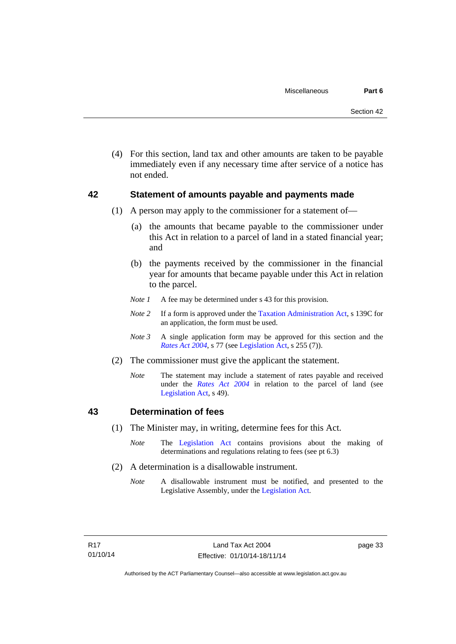(4) For this section, land tax and other amounts are taken to be payable immediately even if any necessary time after service of a notice has not ended.

### <span id="page-38-0"></span>**42 Statement of amounts payable and payments made**

- (1) A person may apply to the commissioner for a statement of—
	- (a) the amounts that became payable to the commissioner under this Act in relation to a parcel of land in a stated financial year; and
	- (b) the payments received by the commissioner in the financial year for amounts that became payable under this Act in relation to the parcel.
	- *Note 1* A fee may be determined under s 43 for this provision.
	- *Note 2* If a form is approved under the [Taxation Administration Act](http://www.legislation.act.gov.au/a/1999-4/default.asp), s 139C for an application, the form must be used.
	- *Note 3* A single application form may be approved for this section and the *[Rates Act 2004](http://www.legislation.act.gov.au/a/2004-3)*, s 77 (see [Legislation Act,](http://www.legislation.act.gov.au/a/2001-14) s 255 (7)).
- (2) The commissioner must give the applicant the statement.
	- *Note* The statement may include a statement of rates payable and received under the *[Rates Act 2004](http://www.legislation.act.gov.au/a/2004-3)* in relation to the parcel of land (see [Legislation Act,](http://www.legislation.act.gov.au/a/2001-14) s 49).

## <span id="page-38-1"></span>**43 Determination of fees**

- (1) The Minister may, in writing, determine fees for this Act.
	- *Note* The [Legislation Act](http://www.legislation.act.gov.au/a/2001-14) contains provisions about the making of determinations and regulations relating to fees (see pt 6.3)
- (2) A determination is a disallowable instrument.
	- *Note* A disallowable instrument must be notified, and presented to the Legislative Assembly, under the [Legislation Act.](http://www.legislation.act.gov.au/a/2001-14)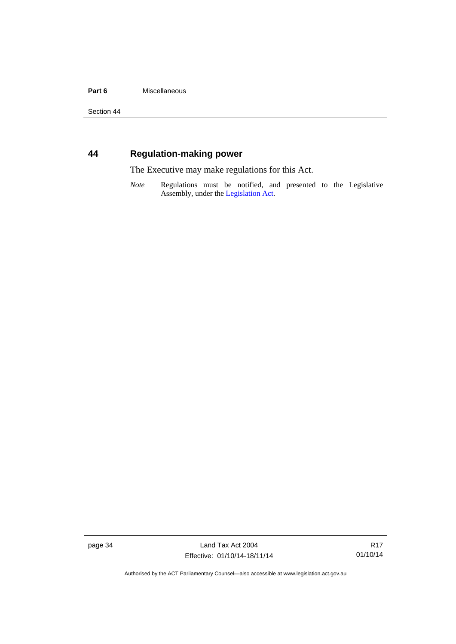#### Part 6 **Miscellaneous**

Section 44

## <span id="page-39-0"></span>**44 Regulation-making power**

The Executive may make regulations for this Act.

*Note* Regulations must be notified, and presented to the Legislative Assembly, under the [Legislation Act](http://www.legislation.act.gov.au/a/2001-14).

page 34 Land Tax Act 2004 Effective: 01/10/14-18/11/14

R17 01/10/14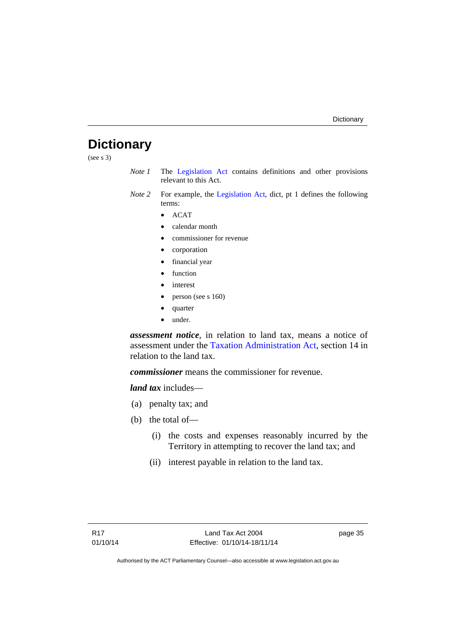## <span id="page-40-0"></span>**Dictionary**

(see s 3)

- *Note 1* The [Legislation Act](http://www.legislation.act.gov.au/a/2001-14) contains definitions and other provisions relevant to this Act.
- *Note 2* For example, the [Legislation Act](http://www.legislation.act.gov.au/a/2001-14), dict, pt 1 defines the following terms:
	- $\bullet$  ACAT
	- calendar month
	- commissioner for revenue
	- corporation
	- financial year
	- function
	- interest
	- person (see s 160)
	- quarter
	- under.

*assessment notice*, in relation to land tax, means a notice of assessment under the [Taxation Administration Act](http://www.legislation.act.gov.au/a/1999-4/default.asp), section 14 in relation to the land tax.

*commissioner* means the commissioner for revenue.

*land tax* includes—

- (a) penalty tax; and
- (b) the total of—
	- (i) the costs and expenses reasonably incurred by the Territory in attempting to recover the land tax; and
	- (ii) interest payable in relation to the land tax.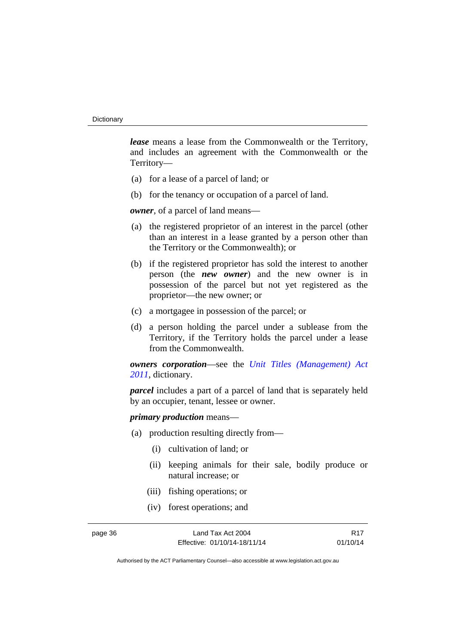*lease* means a lease from the Commonwealth or the Territory, and includes an agreement with the Commonwealth or the Territory—

- (a) for a lease of a parcel of land; or
- (b) for the tenancy or occupation of a parcel of land.

*owner*, of a parcel of land means—

- (a) the registered proprietor of an interest in the parcel (other than an interest in a lease granted by a person other than the Territory or the Commonwealth); or
- (b) if the registered proprietor has sold the interest to another person (the *new owner*) and the new owner is in possession of the parcel but not yet registered as the proprietor—the new owner; or
- (c) a mortgagee in possession of the parcel; or
- (d) a person holding the parcel under a sublease from the Territory, if the Territory holds the parcel under a lease from the Commonwealth.

*owners corporation*—see the *[Unit Titles \(Management\) Act](http://www.legislation.act.gov.au/a/2011-41)  [2011](http://www.legislation.act.gov.au/a/2011-41)*, dictionary.

*parcel* includes a part of a parcel of land that is separately held by an occupier, tenant, lessee or owner.

*primary production* means—

- (a) production resulting directly from—
	- (i) cultivation of land; or
	- (ii) keeping animals for their sale, bodily produce or natural increase; or
	- (iii) fishing operations; or
	- (iv) forest operations; and

page 36 Land Tax Act 2004 Effective: 01/10/14-18/11/14

R17 01/10/14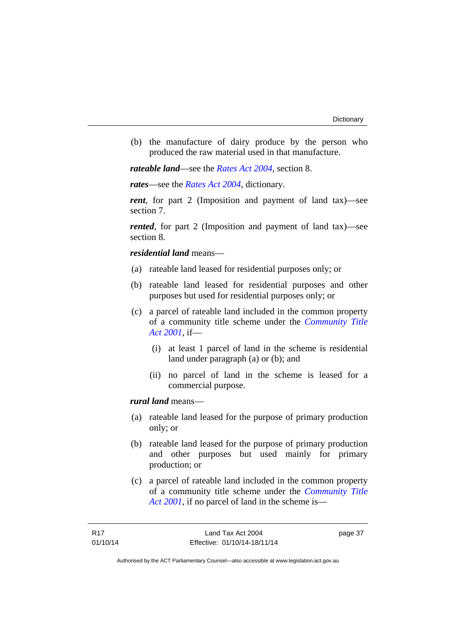(b) the manufacture of dairy produce by the person who produced the raw material used in that manufacture.

*rateable land*—see the *[Rates Act 2004](http://www.legislation.act.gov.au/a/2004-3)*, section 8.

*rates*—see the *[Rates Act 2004](http://www.legislation.act.gov.au/a/2004-3)*, dictionary.

*rent*, for part 2 (Imposition and payment of land tax)—see section 7.

*rented*, for part 2 (Imposition and payment of land tax)—see section 8.

### *residential land* means—

- (a) rateable land leased for residential purposes only; or
- (b) rateable land leased for residential purposes and other purposes but used for residential purposes only; or
- (c) a parcel of rateable land included in the common property of a community title scheme under the *[Community Title](http://www.legislation.act.gov.au/a/2001-58)  [Act 2001](http://www.legislation.act.gov.au/a/2001-58)*, if—
	- (i) at least 1 parcel of land in the scheme is residential land under paragraph (a) or (b); and
	- (ii) no parcel of land in the scheme is leased for a commercial purpose.

#### *rural land* means—

- (a) rateable land leased for the purpose of primary production only; or
- (b) rateable land leased for the purpose of primary production and other purposes but used mainly for primary production; or
- (c) a parcel of rateable land included in the common property of a community title scheme under the *[Community Title](http://www.legislation.act.gov.au/a/2001-58)  [Act 2001](http://www.legislation.act.gov.au/a/2001-58)*, if no parcel of land in the scheme is—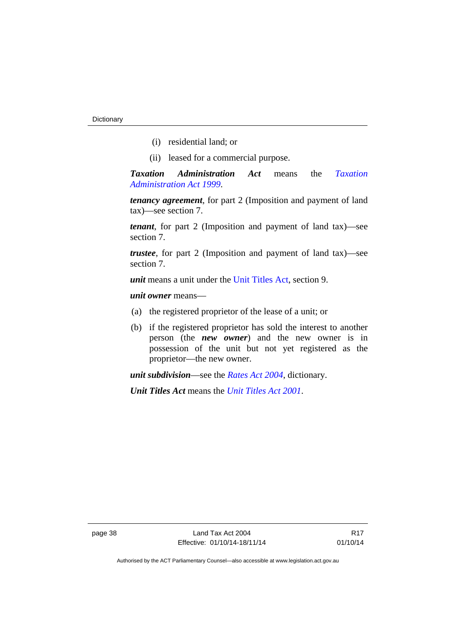- (i) residential land; or
- (ii) leased for a commercial purpose.

*Taxation Administration Act* means the *[Taxation](http://www.legislation.act.gov.au/a/1999-4)  [Administration Act 1999](http://www.legislation.act.gov.au/a/1999-4)*.

*tenancy agreement*, for part 2 (Imposition and payment of land tax)—see section 7.

*tenant*, for part 2 (Imposition and payment of land tax)—see section 7.

*trustee*, for part 2 (Imposition and payment of land tax)—see section 7.

*unit* means a unit under the [Unit Titles Act,](http://www.legislation.act.gov.au/a/2001-16/default.asp) section 9.

*unit owner* means—

- (a) the registered proprietor of the lease of a unit; or
- (b) if the registered proprietor has sold the interest to another person (the *new owner*) and the new owner is in possession of the unit but not yet registered as the proprietor—the new owner.

*unit subdivision*—see the *[Rates Act 2004](http://www.legislation.act.gov.au/a/2004-3)*, dictionary.

*Unit Titles Act* means the *[Unit Titles Act 2001](http://www.legislation.act.gov.au/a/2001-16)*.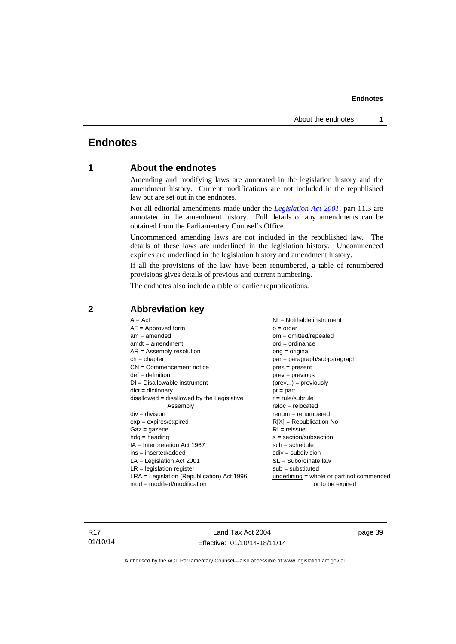## <span id="page-44-0"></span>**Endnotes**

## **1 About the endnotes**

Amending and modifying laws are annotated in the legislation history and the amendment history. Current modifications are not included in the republished law but are set out in the endnotes.

Not all editorial amendments made under the *[Legislation Act 2001](http://www.legislation.act.gov.au/a/2001-14)*, part 11.3 are annotated in the amendment history. Full details of any amendments can be obtained from the Parliamentary Counsel's Office.

Uncommenced amending laws are not included in the republished law. The details of these laws are underlined in the legislation history. Uncommenced expiries are underlined in the legislation history and amendment history.

If all the provisions of the law have been renumbered, a table of renumbered provisions gives details of previous and current numbering.

The endnotes also include a table of earlier republications.

| $A = Act$                                    | $NI =$ Notifiable instrument                |
|----------------------------------------------|---------------------------------------------|
| $AF =$ Approved form                         | $o = order$                                 |
| $am = amended$                               | om = omitted/repealed                       |
| $amdt = amendment$                           | $ord = ordinance$                           |
| $AR = Assembly resolution$                   | $orig = original$                           |
| $ch = chapter$                               | par = paragraph/subparagraph                |
| $CN =$ Commencement notice                   | $pres = present$                            |
| $def = definition$                           | $prev = previous$                           |
| $DI = Disallowable instrument$               | $(\text{prev}) = \text{previously}$         |
| $dict = dictionary$                          | $pt = part$                                 |
| disallowed = disallowed by the Legislative   | $r = rule/subrule$                          |
| Assembly                                     | $reloc = relocated$                         |
| $div = division$                             | $renum = renumbered$                        |
| $exp = expires/expired$                      | $R[X]$ = Republication No                   |
| $Gaz = gazette$                              | $RI = reissue$                              |
| $hdg = heading$                              | $s = section/subsection$                    |
| $IA = Interpretation Act 1967$               | $sch = schedule$                            |
| $ins = inserted/added$                       | $sdiv = subdivision$                        |
| $LA =$ Legislation Act 2001                  | $SL = Subordinate$ law                      |
| $LR =$ legislation register                  | $sub =$ substituted                         |
| $LRA =$ Legislation (Republication) Act 1996 | $underlining = whole or part not commenced$ |
| $mod = modified/modification$                | or to be expired                            |
|                                              |                                             |

## <span id="page-44-2"></span>**2 Abbreviation key**

R17 01/10/14

Land Tax Act 2004 Effective: 01/10/14-18/11/14 page 39

<span id="page-44-1"></span>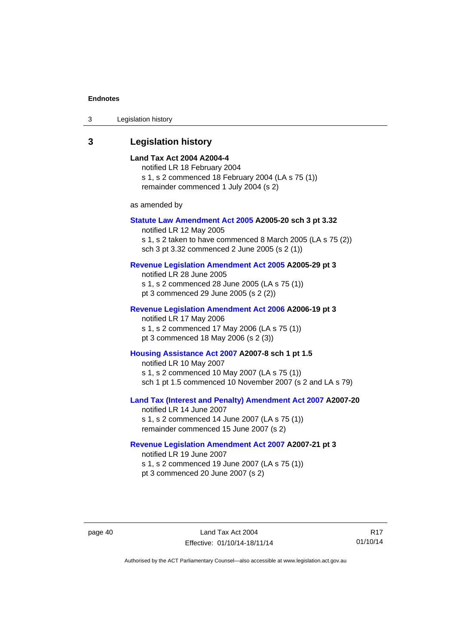| Legislation history<br>3 |  |
|--------------------------|--|
|--------------------------|--|

#### <span id="page-45-0"></span>**3 Legislation history**

#### **Land Tax Act 2004 A2004-4**

notified LR 18 February 2004 s 1, s 2 commenced 18 February 2004 (LA s 75 (1)) remainder commenced 1 July 2004 (s 2)

as amended by

#### **[Statute Law Amendment Act 2005](http://www.legislation.act.gov.au/a/2005-20) A2005-20 sch 3 pt 3.32**

notified LR 12 May 2005 s 1, s 2 taken to have commenced 8 March 2005 (LA s 75 (2)) sch 3 pt 3.32 commenced 2 June 2005 (s 2 (1))

#### **[Revenue Legislation Amendment Act 2005](http://www.legislation.act.gov.au/a/2005-29) A2005-29 pt 3**

notified LR 28 June 2005 s 1, s 2 commenced 28 June 2005 (LA s 75 (1)) pt 3 commenced 29 June 2005 (s 2 (2))

#### **[Revenue Legislation Amendment Act 2006](http://www.legislation.act.gov.au/a/2006-19) A2006-19 pt 3**

notified LR 17 May 2006 s 1, s 2 commenced 17 May 2006 (LA s 75 (1)) pt 3 commenced 18 May 2006 (s 2 (3))

#### **[Housing Assistance Act 2007](http://www.legislation.act.gov.au/a/2007-8) A2007-8 sch 1 pt 1.5**

notified LR 10 May 2007 s 1, s 2 commenced 10 May 2007 (LA s 75 (1)) sch 1 pt 1.5 commenced 10 November 2007 (s 2 and LA s 79)

#### **[Land Tax \(Interest and Penalty\) Amendment Act 2007](http://www.legislation.act.gov.au/a/2007-20) A2007-20**

notified LR 14 June 2007 s 1, s 2 commenced 14 June 2007 (LA s 75 (1)) remainder commenced 15 June 2007 (s 2)

#### **[Revenue Legislation Amendment Act 2007](http://www.legislation.act.gov.au/a/2007-21) A2007-21 pt 3**

notified LR 19 June 2007 s 1, s 2 commenced 19 June 2007 (LA s 75 (1)) pt 3 commenced 20 June 2007 (s 2)

R17 01/10/14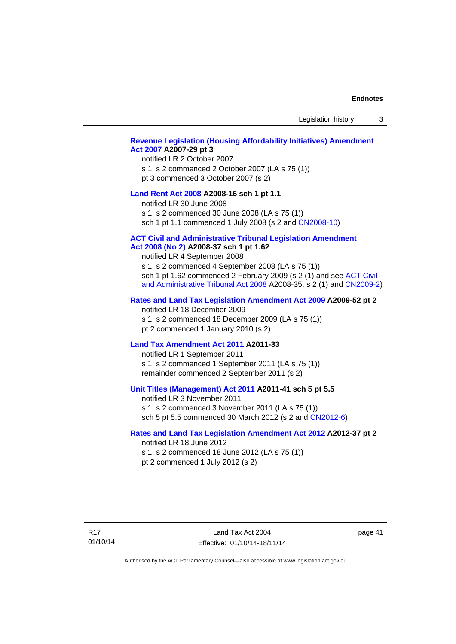Legislation history 3

#### **[Revenue Legislation \(Housing Affordability Initiatives\) Amendment](http://www.legislation.act.gov.au/a/2007-29)  [Act 2007](http://www.legislation.act.gov.au/a/2007-29) A2007-29 pt 3**

#### notified LR 2 October 2007

s 1, s 2 commenced 2 October 2007 (LA s 75 (1)) pt 3 commenced 3 October 2007 (s 2)

#### **[Land Rent Act 2008](http://www.legislation.act.gov.au/a/2008-16) A2008-16 sch 1 pt 1.1**

notified LR 30 June 2008

s 1, s 2 commenced 30 June 2008 (LA s 75 (1)) sch 1 pt 1.1 commenced 1 July 2008 (s 2 and [CN2008-10\)](http://www.legislation.act.gov.au/cn/2008-10/default.asp)

#### **[ACT Civil and Administrative Tribunal Legislation Amendment](http://www.legislation.act.gov.au/a/2008-37)**

#### **[Act 2008 \(No 2\)](http://www.legislation.act.gov.au/a/2008-37) A2008-37 sch 1 pt 1.62**

notified LR 4 September 2008

s 1, s 2 commenced 4 September 2008 (LA s 75 (1)) sch 1 pt 1.62 commenced 2 February 2009 (s 2 (1) and see [ACT Civil](http://www.legislation.act.gov.au/a/2008-35)  [and Administrative Tribunal Act 2008](http://www.legislation.act.gov.au/a/2008-35) A2008-35, s 2 (1) and [CN2009-2](http://www.legislation.act.gov.au/cn/2009-2/default.asp))

#### **[Rates and Land Tax Legislation Amendment Act 2009](http://www.legislation.act.gov.au/a/2009-52) A2009-52 pt 2**

notified LR 18 December 2009 s 1, s 2 commenced 18 December 2009 (LA s 75 (1)) pt 2 commenced 1 January 2010 (s 2)

#### **[Land Tax Amendment Act 2011](http://www.legislation.act.gov.au/a/2011-33) A2011-33**

notified LR 1 September 2011 s 1, s 2 commenced 1 September 2011 (LA s 75 (1)) remainder commenced 2 September 2011 (s 2)

#### **[Unit Titles \(Management\) Act 2011](http://www.legislation.act.gov.au/a/2011-41) A2011-41 sch 5 pt 5.5**

notified LR 3 November 2011 s 1, s 2 commenced 3 November 2011 (LA s 75 (1)) sch 5 pt 5.5 commenced 30 March 2012 (s 2 and [CN2012-6\)](http://www.legislation.act.gov.au/cn/2012-6/default.asp)

#### **[Rates and Land Tax Legislation Amendment Act 2012](http://www.legislation.act.gov.au/a/2012-37) A2012-37 pt 2**

notified LR 18 June 2012 s 1, s 2 commenced 18 June 2012 (LA s 75 (1)) pt 2 commenced 1 July 2012 (s 2)

R17 01/10/14

Land Tax Act 2004 Effective: 01/10/14-18/11/14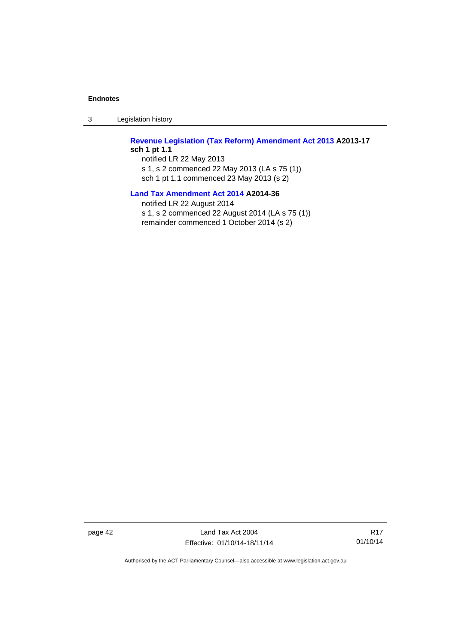3 Legislation history

**[Revenue Legislation \(Tax Reform\) Amendment Act 2013](http://www.legislation.act.gov.au/a/2013-17) A2013-17 sch 1 pt 1.1**  notified LR 22 May 2013 s 1, s 2 commenced 22 May 2013 (LA s 75 (1))

sch 1 pt 1.1 commenced 23 May 2013 (s 2)

**[Land Tax Amendment Act 2014](http://www.legislation.act.gov.au/a/2014-36) A2014-36** 

notified LR 22 August 2014 s 1, s 2 commenced 22 August 2014 (LA s 75 (1)) remainder commenced 1 October 2014 (s 2)

page 42 Land Tax Act 2004 Effective: 01/10/14-18/11/14

R17 01/10/14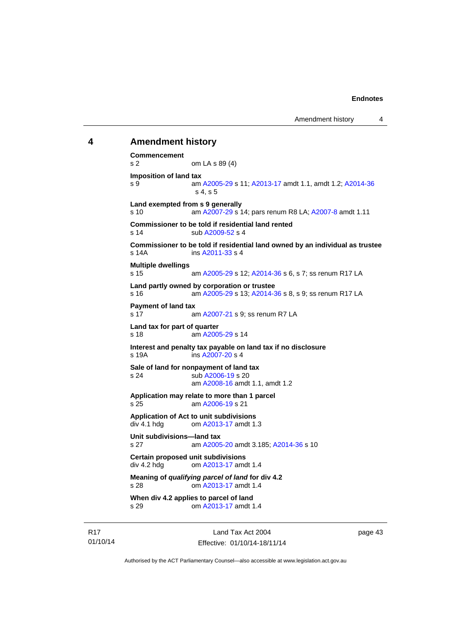## <span id="page-48-0"></span>**4 Amendment history Commencement**  s 2 om LA s 89 (4) **Imposition of land tax**  s 9 am [A2005-29](http://www.legislation.act.gov.au/a/2005-29) s 11; [A2013-17](http://www.legislation.act.gov.au/a/2013-17) amdt 1.1, amdt 1.2; [A2014-36](http://www.legislation.act.gov.au/a/2014-36) s 4, s 5 **Land exempted from s 9 generally**  s 10 am [A2007-29](http://www.legislation.act.gov.au/a/2007-29) s 14; pars renum R8 LA; [A2007-8](http://www.legislation.act.gov.au/a/2007-8) amdt 1.11 **Commissioner to be told if residential land rented**  s 14 sub [A2009-52](http://www.legislation.act.gov.au/a/2009-52) s 4 **Commissioner to be told if residential land owned by an individual as trustee**  s 14A ins [A2011-33](http://www.legislation.act.gov.au/a/2011-33) s 4 **Multiple dwellings**  s 15 am [A2005-29](http://www.legislation.act.gov.au/a/2005-29) s 12; [A2014-36](http://www.legislation.act.gov.au/a/2014-36) s 6, s 7; ss renum R17 LA **Land partly owned by corporation or trustee**  s 16 am [A2005-29](http://www.legislation.act.gov.au/a/2005-29) s 13; [A2014-36](http://www.legislation.act.gov.au/a/2014-36) s 8, s 9; ss renum R17 LA **Payment of land tax**  am [A2007-21](http://www.legislation.act.gov.au/a/2007-21) s 9; ss renum R7 LA **Land tax for part of quarter**  s 18 am [A2005-29](http://www.legislation.act.gov.au/a/2005-29) s 14 **Interest and penalty tax payable on land tax if no disclosure**   $ins A2007-20 s 4$  $ins A2007-20 s 4$  $ins A2007-20 s 4$ **Sale of land for nonpayment of land tax**  s 24 sub [A2006-19](http://www.legislation.act.gov.au/a/2006-19) s 20 am [A2008-16](http://www.legislation.act.gov.au/a/2008-16) amdt 1.1, amdt 1.2 **Application may relate to more than 1 parcel**  s 25 am [A2006-19](http://www.legislation.act.gov.au/a/2006-19) s 21 **Application of Act to unit subdivisions**  om [A2013-17](http://www.legislation.act.gov.au/a/2013-17) amdt 1.3 **Unit subdivisions—land tax**  s 27 am [A2005-20](http://www.legislation.act.gov.au/a/2005-20) amdt 3.185; [A2014-36](http://www.legislation.act.gov.au/a/2014-36) s 10 **Certain proposed unit subdivisions**  div 4.2 hdg om [A2013-17](http://www.legislation.act.gov.au/a/2013-17) amdt 1.4 **Meaning of** *qualifying parcel of land* **for div 4.2**  s 28 om [A2013-17](http://www.legislation.act.gov.au/a/2013-17) amdt 1.4 **When div 4.2 applies to parcel of land**  s 29 om [A2013-17](http://www.legislation.act.gov.au/a/2013-17) amdt 1.4

R17 01/10/14

Land Tax Act 2004 Effective: 01/10/14-18/11/14 page 43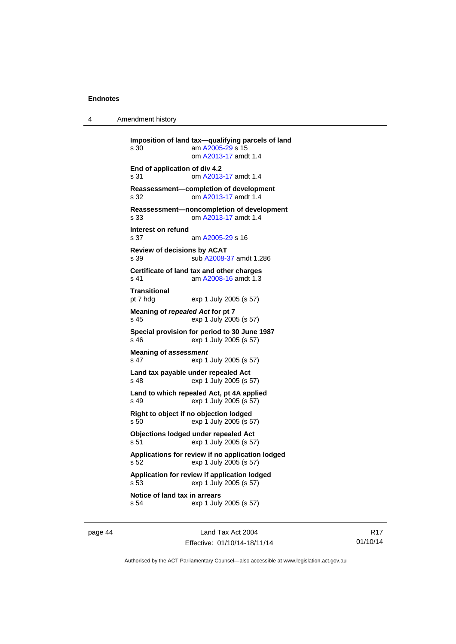4 Amendment history

```
Imposition of land tax—qualifying parcels of land 
s 30 am A2005-29 s 15 
                om A2013-17 amdt 1.4
End of application of div 4.2 
s 31 om A2013-17 amdt 1.4
Reassessment—completion of development 
s 32 om A2013-17 amdt 1.4
Reassessment—noncompletion of development 
s 33 om A2013-17 amdt 1.4
Interest on refund 
s 37 am A2005-29 s 16 
Review of decisions by ACAT 
s 39 sub A2008-37 amdt 1.286 
Certificate of land tax and other charges 
s 41 am A2008-16 amdt 1.3
Transitional 
pt 7 hdg exp 1 July 2005 (s 57) 
Meaning of repealed Act for pt 7 
s 45 exp 1 July 2005 (s 57) 
Special provision for period to 30 June 1987 
s 46 exp 1 July 2005 (s 57) 
Meaning of assessment
s 47 exp 1 July 2005 (s 57) 
Land tax payable under repealed Act 
s 48 exp 1 July 2005 (s 57) 
Land to which repealed Act, pt 4A applied 
s 49 exp 1 July 2005 (s 57) 
Right to object if no objection lodged 
s 50 exp 1 July 2005 (s 57) 
Objections lodged under repealed Act 
s 51 exp 1 July 2005 (s 57) 
Applications for review if no application lodged 
s 52 exp 1 July 2005 (s 57) 
Application for review if application lodged 
s 53 exp 1 July 2005 (s 57) 
Notice of land tax in arrears 
s 54 exp 1 July 2005 (s 57)
```
page 44 Land Tax Act 2004 Effective: 01/10/14-18/11/14

R17 01/10/14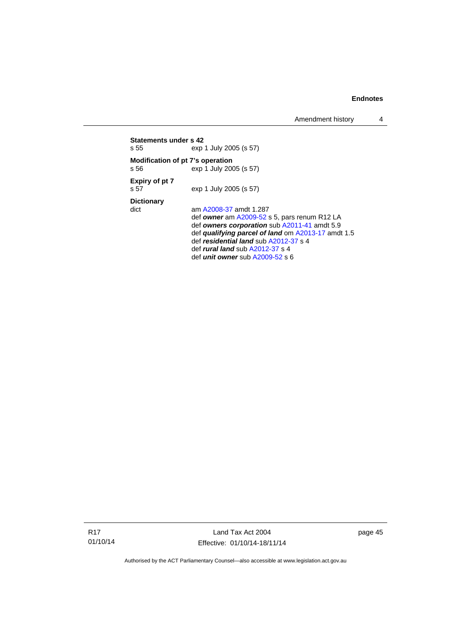Amendment history 4

| Statements under s 42<br>s 55 |                                          | exp 1 July 2005 (s 57)                                                                                                                                                                                                                                                                                        |
|-------------------------------|------------------------------------------|---------------------------------------------------------------------------------------------------------------------------------------------------------------------------------------------------------------------------------------------------------------------------------------------------------------|
|                               | Modification of pt 7's operation<br>s 56 | exp 1 July 2005 (s 57)                                                                                                                                                                                                                                                                                        |
|                               | Expiry of pt 7<br>s 57                   | exp 1 July 2005 (s 57)                                                                                                                                                                                                                                                                                        |
|                               | <b>Dictionary</b><br>dict                | am A2008-37 amdt 1.287<br>def owner am A2009-52 s 5, pars renum R12 LA<br>def owners corporation sub A2011-41 amdt 5.9<br>def qualifying parcel of land om A2013-17 amdt 1.5<br>def residential land sub A2012-37 s 4<br>def <i>rural land</i> sub $A2012-37$ s 4<br>def <i>unit</i> owner sub $A2009-52$ s 6 |

R17 01/10/14

Land Tax Act 2004 Effective: 01/10/14-18/11/14 page 45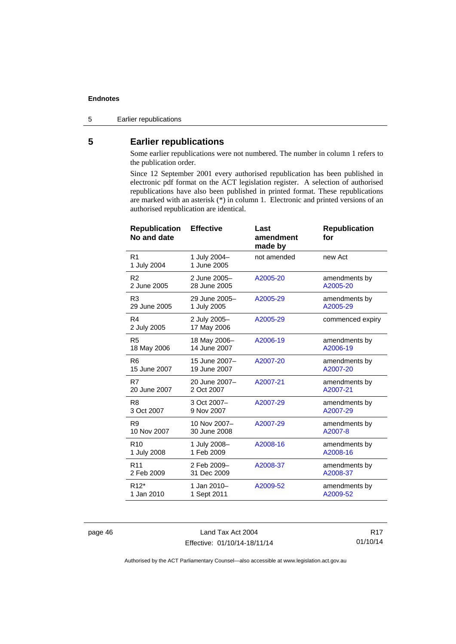5 Earlier republications

## <span id="page-51-0"></span>**5 Earlier republications**

Some earlier republications were not numbered. The number in column 1 refers to the publication order.

Since 12 September 2001 every authorised republication has been published in electronic pdf format on the ACT legislation register. A selection of authorised republications have also been published in printed format. These republications are marked with an asterisk (\*) in column 1. Electronic and printed versions of an authorised republication are identical.

| <b>Republication</b><br>No and date | <b>Effective</b>            | Last<br>amendment<br>made by | <b>Republication</b><br>for |
|-------------------------------------|-----------------------------|------------------------------|-----------------------------|
| R <sub>1</sub><br>1 July 2004       | 1 July 2004-<br>1 June 2005 | not amended                  | new Act                     |
| R <sub>2</sub>                      | 2 June 2005-                | A2005-20                     | amendments by               |
| 2 June 2005                         | 28 June 2005                |                              | A2005-20                    |
| R <sub>3</sub>                      | 29 June 2005-               | A2005-29                     | amendments by               |
| 29 June 2005                        | 1 July 2005                 |                              | A2005-29                    |
| R4<br>2 July 2005                   | 2 July 2005-<br>17 May 2006 | A2005-29                     | commenced expiry            |
| R <sub>5</sub>                      | 18 May 2006-                | A2006-19                     | amendments by               |
| 18 May 2006                         | 14 June 2007                |                              | A2006-19                    |
| R <sub>6</sub>                      | 15 June 2007-               | A2007-20                     | amendments by               |
| 15 June 2007                        | 19 June 2007                |                              | A2007-20                    |
| R7                                  | 20 June 2007-               | A2007-21                     | amendments by               |
| 20 June 2007                        | 2 Oct 2007                  |                              | A2007-21                    |
| R <sub>8</sub>                      | 3 Oct 2007-                 | A2007-29                     | amendments by               |
| 3 Oct 2007                          | 9 Nov 2007                  |                              | A2007-29                    |
| R <sub>9</sub>                      | 10 Nov 2007-                | A2007-29                     | amendments by               |
| 10 Nov 2007                         | 30 June 2008                |                              | A2007-8                     |
| R <sub>10</sub>                     | 1 July 2008-                | A2008-16                     | amendments by               |
| 1 July 2008                         | 1 Feb 2009                  |                              | A2008-16                    |
| R <sub>11</sub>                     | 2 Feb 2009-                 | A2008-37                     | amendments by               |
| 2 Feb 2009                          | 31 Dec 2009                 |                              | A2008-37                    |
| R <sub>12</sub> *                   | 1 Jan 2010-                 | A2009-52                     | amendments by               |
| 1 Jan 2010                          | 1 Sept 2011                 |                              | A2009-52                    |

page 46 Land Tax Act 2004 Effective: 01/10/14-18/11/14

R17 01/10/14